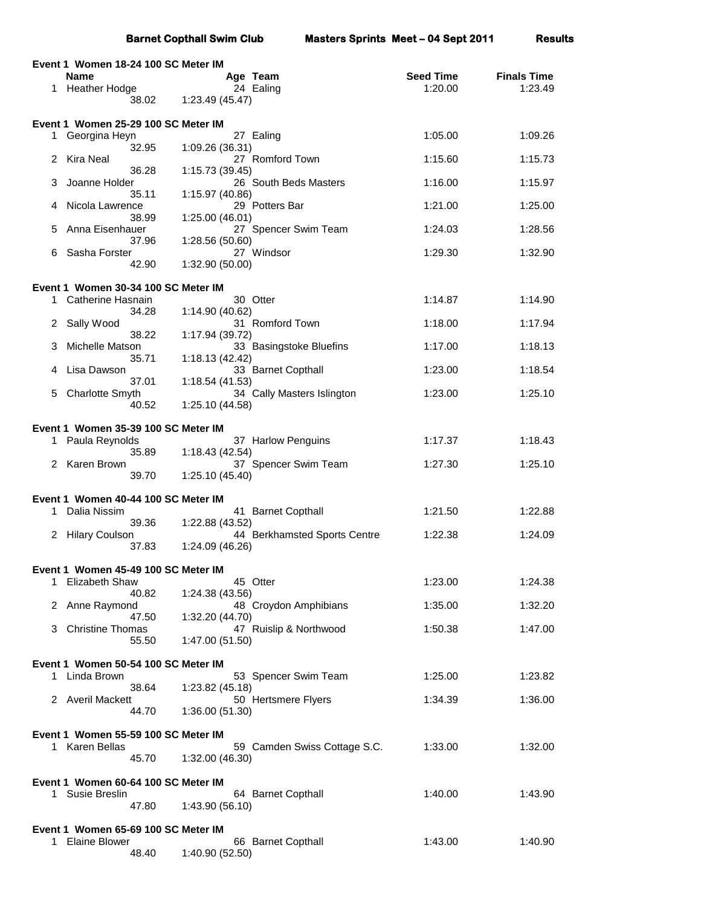|    |                                                              | <b>Barnet Copthall Swim Club</b> |                              | <b>Masters Sprints Meet - 04 Sept 2011</b> | <b>Results</b>     |
|----|--------------------------------------------------------------|----------------------------------|------------------------------|--------------------------------------------|--------------------|
|    | Event 1 Women 18-24 100 SC Meter IM                          |                                  |                              |                                            |                    |
|    | Name                                                         |                                  | Age Team                     | <b>Seed Time</b>                           | <b>Finals Time</b> |
|    | 1 Heather Hodge<br>38.02                                     | 1:23.49 (45.47)                  | 24 Ealing                    | 1:20.00                                    | 1:23.49            |
|    |                                                              |                                  |                              |                                            |                    |
| 1  | Event 1 Women 25-29 100 SC Meter IM<br>Georgina Heyn         |                                  | 27 Ealing                    | 1:05.00                                    | 1:09.26            |
|    | 32.95                                                        | 1:09.26 (36.31)                  |                              |                                            |                    |
| 2  | Kira Neal<br>36.28                                           | 1:15.73 (39.45)                  | 27 Romford Town              | 1:15.60                                    | 1:15.73            |
| 3  | Joanne Holder<br>35.11                                       | 1:15.97 (40.86)                  | 26 South Beds Masters        | 1:16.00                                    | 1:15.97            |
| 4  | Nicola Lawrence                                              |                                  | 29 Potters Bar               | 1:21.00                                    | 1:25.00            |
| 5  | 38.99<br>Anna Eisenhauer                                     | 1:25.00 (46.01)                  | 27 Spencer Swim Team         | 1:24.03                                    | 1:28.56            |
|    | 37.96                                                        | 1:28.56 (50.60)                  |                              |                                            |                    |
| 6  | Sasha Forster<br>42.90                                       | 1:32.90 (50.00)                  | 27 Windsor                   | 1:29.30                                    | 1:32.90            |
|    | Event 1 Women 30-34 100 SC Meter IM                          |                                  |                              |                                            |                    |
| 1  | Catherine Hasnain                                            |                                  | 30 Otter                     | 1:14.87                                    | 1:14.90            |
| 2. | 34.28<br>Sally Wood                                          | 1:14.90 (40.62)                  | 31 Romford Town              | 1:18.00                                    | 1:17.94            |
|    | 38.22                                                        | 1:17.94 (39.72)                  |                              |                                            |                    |
| З  | Michelle Matson<br>35.71                                     | 1:18.13(42.42)                   | 33 Basingstoke Bluefins      | 1:17.00                                    | 1:18.13            |
| 4  | Lisa Dawson                                                  |                                  | 33 Barnet Copthall           | 1:23.00                                    | 1:18.54            |
| 5  | 37.01<br>Charlotte Smyth                                     | 1:18.54(41.53)                   | 34 Cally Masters Islington   | 1:23.00                                    | 1:25.10            |
|    | 40.52                                                        | 1:25.10 (44.58)                  |                              |                                            |                    |
|    | Event 1 Women 35-39 100 SC Meter IM                          |                                  |                              |                                            |                    |
|    | 1 Paula Reynolds<br>35.89                                    | 1:18.43(42.54)                   | 37 Harlow Penguins           | 1:17.37                                    | 1:18.43            |
|    | 2 Karen Brown                                                |                                  | 37 Spencer Swim Team         | 1:27.30                                    | 1:25.10            |
|    | 39.70                                                        | 1:25.10 (45.40)                  |                              |                                            |                    |
|    | Event 1 Women 40-44 100 SC Meter IM                          |                                  |                              | 1:21.50                                    | 1:22.88            |
| 1  | Dalia Nissim<br>39.36                                        | 1:22.88 (43.52)                  | 41 Barnet Copthall           |                                            |                    |
|    | 2 Hilary Coulson<br>37.83                                    | 1:24.09 (46.26)                  | 44 Berkhamsted Sports Centre | 1:22.38                                    | 1:24.09            |
|    |                                                              |                                  |                              |                                            |                    |
| 1  | Event 1 Women 45-49 100 SC Meter IM<br><b>Elizabeth Shaw</b> |                                  | 45 Otter                     | 1:23.00                                    | 1:24.38            |
|    | 40.82                                                        | 1:24.38 (43.56)                  |                              |                                            |                    |
|    | 2 Anne Raymond<br>47.50                                      | 1:32.20 (44.70)                  | 48 Croydon Amphibians        | 1:35.00                                    | 1:32.20            |
|    | <b>Christine Thomas</b><br>55.50                             | 1:47.00 (51.50)                  | 47 Ruislip & Northwood       | 1:50.38                                    | 1:47.00            |
|    |                                                              |                                  |                              |                                            |                    |
|    | Event 1 Women 50-54 100 SC Meter IM<br>1 Linda Brown         |                                  | 53 Spencer Swim Team         | 1:25.00                                    | 1:23.82            |
|    | 38.64                                                        | 1:23.82 (45.18)                  |                              |                                            |                    |
|    | 2 Averil Mackett<br>44.70                                    | 1:36.00(51.30)                   | 50 Hertsmere Flyers          | 1:34.39                                    | 1:36.00            |
|    |                                                              |                                  |                              |                                            |                    |
|    | Event 1 Women 55-59 100 SC Meter IM<br>Karen Bellas          |                                  | 59 Camden Swiss Cottage S.C. | 1:33.00                                    | 1:32.00            |
|    | 45.70                                                        | 1:32.00 (46.30)                  |                              |                                            |                    |
|    | Event 1 Women 60-64 100 SC Meter IM                          |                                  |                              |                                            |                    |
| 1. | Susie Breslin<br>47.80                                       | 1:43.90 (56.10)                  | 64 Barnet Copthall           | 1:40.00                                    | 1:43.90            |
|    |                                                              |                                  |                              |                                            |                    |
| 1  | Event 1 Women 65-69 100 SC Meter IM<br><b>Elaine Blower</b>  |                                  | 66 Barnet Copthall           | 1:43.00                                    | 1:40.90            |
|    | 48.40                                                        | 1:40.90 (52.50)                  |                              |                                            |                    |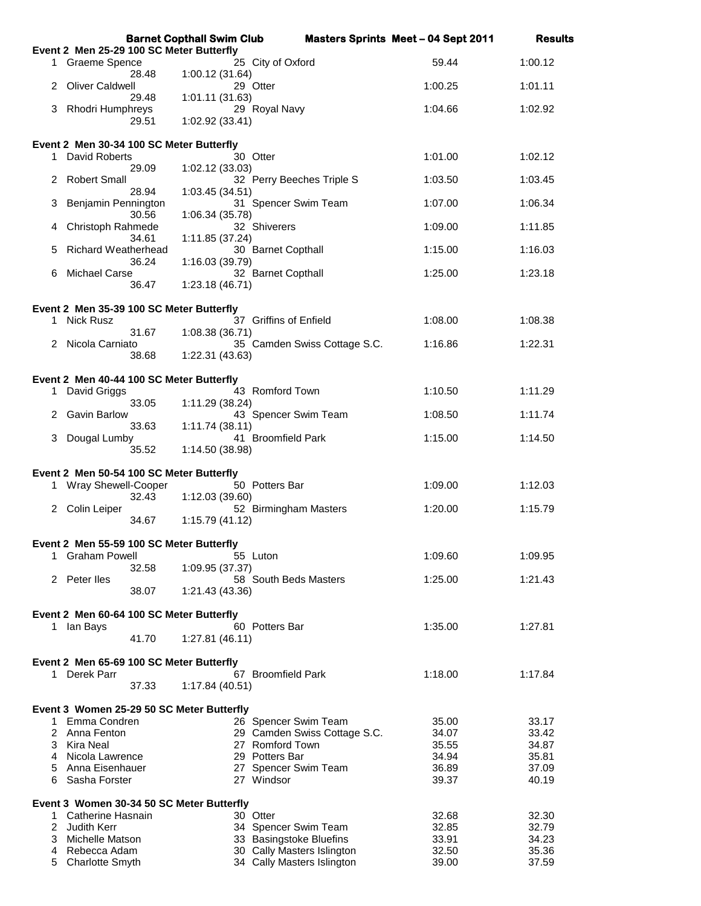|    |                                                                | <b>Barnet Copthall Swim Club</b>                         |                              | <b>Masters Sprints Meet - 04 Sept 2011</b> | <b>Results</b> |
|----|----------------------------------------------------------------|----------------------------------------------------------|------------------------------|--------------------------------------------|----------------|
|    | Event 2 Men 25-29 100 SC Meter Butterfly                       |                                                          |                              |                                            |                |
|    | 1 Graeme Spence<br>28.48                                       | 25 City of Oxford<br>1:00.12 (31.64)                     |                              | 59.44                                      | 1:00.12        |
|    | <b>Oliver Caldwell</b><br>29.48                                | 29 Otter<br>1:01.11 (31.63)                              |                              | 1:00.25                                    | 1:01.11        |
| 3  | Rhodri Humphreys<br>29.51                                      | 29 Royal Navy<br>1:02.92 (33.41)                         |                              | 1:04.66                                    | 1:02.92        |
|    | Event 2 Men 30-34 100 SC Meter Butterfly                       |                                                          |                              |                                            |                |
| 1. | David Roberts<br>29.09                                         | 30 Otter                                                 |                              | 1:01.00                                    | 1:02.12        |
| 2  | <b>Robert Small</b><br>28.94                                   | 1:02.12 (33.03)<br>1:03.45 (34.51)                       | 32 Perry Beeches Triple S    | 1:03.50                                    | 1:03.45        |
| З  | Benjamin Pennington<br>30.56                                   | 31 Spencer Swim Team<br>1:06.34 (35.78)                  |                              | 1:07.00                                    | 1:06.34        |
| 4  | Christoph Rahmede                                              | 32 Shiverers                                             |                              | 1:09.00                                    | 1:11.85        |
| 5  | 34.61<br><b>Richard Weatherhead</b><br>36.24                   | 1:11.85 (37.24)<br>30 Barnet Copthall<br>1:16.03 (39.79) |                              | 1:15.00                                    | 1:16.03        |
| 6  | <b>Michael Carse</b><br>36.47                                  | 32 Barnet Copthall<br>1:23.18(46.71)                     |                              | 1:25.00                                    | 1:23.18        |
|    |                                                                |                                                          |                              |                                            |                |
| 1  | Event 2 Men 35-39 100 SC Meter Butterfly<br>Nick Rusz<br>31.67 | 37 Griffins of Enfield<br>1:08.38 (36.71)                |                              | 1:08.00                                    | 1:08.38        |
|    | Nicola Carniato<br>38.68                                       | 1:22.31 (43.63)                                          | 35 Camden Swiss Cottage S.C. | 1:16.86                                    | 1:22.31        |
|    |                                                                |                                                          |                              |                                            |                |
| 1. | Event 2 Men 40-44 100 SC Meter Butterfly<br>David Griggs       | 43 Romford Town                                          |                              | 1:10.50                                    | 1:11.29        |
| 2  | 33.05<br>Gavin Barlow                                          | 1:11.29 (38.24)<br>43 Spencer Swim Team                  |                              | 1:08.50                                    | 1:11.74        |
|    | 33.63                                                          | 1:11.74(38.11)                                           |                              |                                            |                |
| 3  | Dougal Lumby<br>35.52                                          | 41 Broomfield Park<br>1:14.50 (38.98)                    |                              | 1:15.00                                    | 1:14.50        |
|    | Event 2 Men 50-54 100 SC Meter Butterfly                       |                                                          |                              |                                            |                |
|    | 1 Wray Shewell-Cooper<br>32.43                                 | 50 Potters Bar<br>1:12.03 (39.60)                        |                              | 1:09.00                                    | 1:12.03        |
|    | 2 Colin Leiper<br>34.67                                        | 52 Birmingham Masters<br>1:15.79 (41.12)                 |                              | 1:20.00                                    | 1:15.79        |
|    | Event 2 Men 55-59 100 SC Meter Butterfly                       |                                                          |                              |                                            |                |
|    | 1 Graham Powell                                                | 55 Luton                                                 |                              | 1:09.60                                    | 1:09.95        |
|    | 32.58<br>2 Peter Iles                                          | 1:09.95 (37.37)<br>58 South Beds Masters                 |                              | 1:25.00                                    | 1:21.43        |
|    | 38.07                                                          | 1:21.43 (43.36)                                          |                              |                                            |                |
|    | Event 2 Men 60-64 100 SC Meter Butterfly                       |                                                          |                              |                                            |                |
|    | 1 Ian Bays<br>41.70                                            | 60 Potters Bar<br>1:27.81(46.11)                         |                              | 1:35.00                                    | 1:27.81        |
|    | Event 2 Men 65-69 100 SC Meter Butterfly                       |                                                          |                              |                                            |                |
|    | 1 Derek Parr<br>37.33                                          | 67 Broomfield Park<br>1:17.84 (40.51)                    |                              | 1:18.00                                    | 1:17.84        |
|    | Event 3 Women 25-29 50 SC Meter Butterfly                      |                                                          |                              |                                            |                |
|    | 1 Emma Condren                                                 | 26 Spencer Swim Team                                     |                              | 35.00                                      | 33.17          |
| 2  | Anna Fenton                                                    |                                                          | 29 Camden Swiss Cottage S.C. | 34.07                                      | 33.42          |
|    | 3 Kira Neal<br>4 Nicola Lawrence                               | 27 Romford Town<br>29 Potters Bar                        |                              | 35.55<br>34.94                             | 34.87<br>35.81 |
| 5  | Anna Eisenhauer                                                | 27 Spencer Swim Team                                     |                              | 36.89                                      | 37.09          |
| 6  | Sasha Forster                                                  | 27 Windsor                                               |                              | 39.37                                      | 40.19          |
|    | Event 3 Women 30-34 50 SC Meter Butterfly                      |                                                          |                              |                                            |                |
|    | 1 Catherine Hasnain<br>2 Judith Kerr                           | 30 Otter<br>34 Spencer Swim Team                         |                              | 32.68<br>32.85                             | 32.30<br>32.79 |
|    | 3 Michelle Matson                                              | 33 Basingstoke Bluefins                                  |                              | 33.91                                      | 34.23          |
| 4  | Rebecca Adam                                                   |                                                          | 30 Cally Masters Islington   | 32.50                                      | 35.36          |
| 5  | <b>Charlotte Smyth</b>                                         |                                                          | 34 Cally Masters Islington   | 39.00                                      | 37.59          |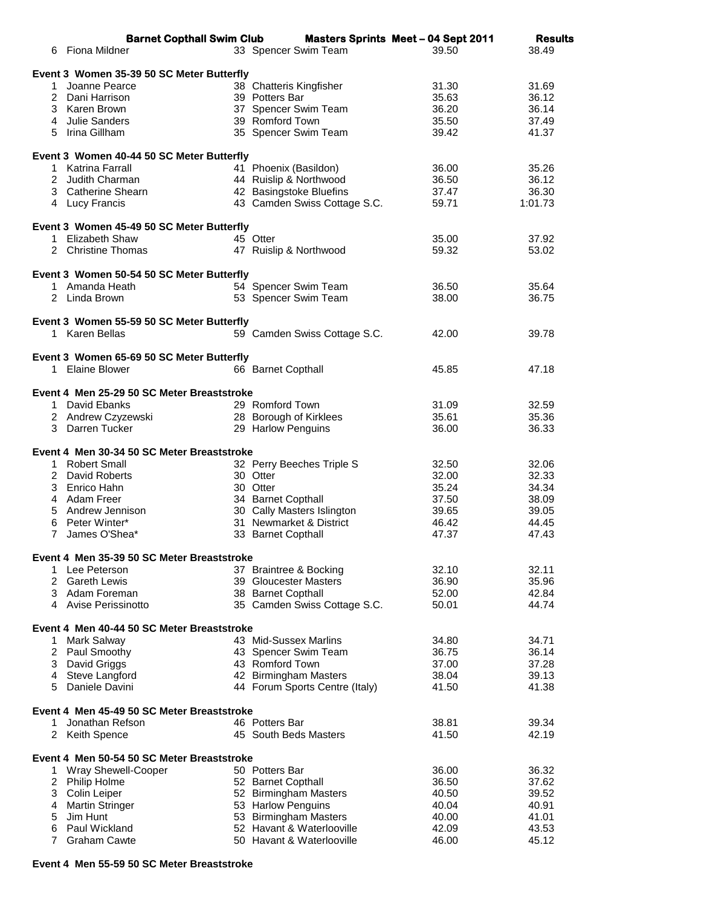|                | <b>Barnet Copthall Swim Club</b>           | <b>Masters Sprints Meet - 04 Sept 2011</b> |       | <b>Results</b> |  |
|----------------|--------------------------------------------|--------------------------------------------|-------|----------------|--|
| 6.             | Fiona Mildner                              | 33 Spencer Swim Team                       | 39.50 | 38.49          |  |
|                |                                            |                                            |       |                |  |
|                | Event 3 Women 35-39 50 SC Meter Butterfly  |                                            |       |                |  |
| 1.             | Joanne Pearce                              | 38 Chatteris Kingfisher                    | 31.30 | 31.69          |  |
|                | 2 Dani Harrison                            | 39 Potters Bar                             | 35.63 | 36.12          |  |
|                | 3 Karen Brown                              | 37 Spencer Swim Team                       | 36.20 | 36.14          |  |
|                | 4 Julie Sanders                            | 39 Romford Town                            | 35.50 | 37.49          |  |
|                | 5 Irina Gillham                            | 35 Spencer Swim Team                       | 39.42 | 41.37          |  |
|                |                                            |                                            |       |                |  |
|                | Event 3 Women 40-44 50 SC Meter Butterfly  |                                            |       |                |  |
|                | 1 Katrina Farrall                          | 41 Phoenix (Basildon)                      | 36.00 | 35.26          |  |
|                | 2 Judith Charman                           | 44 Ruislip & Northwood                     | 36.50 | 36.12          |  |
|                | 3 Catherine Shearn                         | 42 Basingstoke Bluefins                    | 37.47 | 36.30          |  |
|                | 4 Lucy Francis                             | 43 Camden Swiss Cottage S.C.               | 59.71 | 1:01.73        |  |
|                |                                            |                                            |       |                |  |
|                | Event 3 Women 45-49 50 SC Meter Butterfly  |                                            |       |                |  |
|                | 1 Elizabeth Shaw                           | 45 Otter                                   | 35.00 | 37.92          |  |
|                | 2 Christine Thomas                         | 47 Ruislip & Northwood                     | 59.32 | 53.02          |  |
|                |                                            |                                            |       |                |  |
|                | Event 3 Women 50-54 50 SC Meter Butterfly  |                                            |       |                |  |
|                | 1 Amanda Heath                             | 54 Spencer Swim Team                       | 36.50 | 35.64          |  |
|                | 2 Linda Brown                              | 53 Spencer Swim Team                       | 38.00 | 36.75          |  |
|                |                                            |                                            |       |                |  |
|                | Event 3 Women 55-59 50 SC Meter Butterfly  |                                            |       |                |  |
|                | 1 Karen Bellas                             | 59 Camden Swiss Cottage S.C.               | 42.00 | 39.78          |  |
|                |                                            |                                            |       |                |  |
|                | Event 3 Women 65-69 50 SC Meter Butterfly  |                                            |       |                |  |
|                | 1 Elaine Blower                            | 66 Barnet Copthall                         | 45.85 | 47.18          |  |
|                |                                            |                                            |       |                |  |
|                | Event 4 Men 25-29 50 SC Meter Breaststroke |                                            |       |                |  |
|                | 1 David Ebanks                             | 29 Romford Town                            | 31.09 | 32.59          |  |
|                | 2 Andrew Czyzewski                         | 28 Borough of Kirklees                     | 35.61 | 35.36          |  |
|                | 3 Darren Tucker                            | 29 Harlow Penguins                         | 36.00 | 36.33          |  |
|                |                                            |                                            |       |                |  |
|                | Event 4 Men 30-34 50 SC Meter Breaststroke |                                            |       |                |  |
|                | 1 Robert Small                             | 32 Perry Beeches Triple S                  | 32.50 | 32.06          |  |
|                | 2 David Roberts                            | 30 Otter                                   | 32.00 | 32.33          |  |
|                | 3 Enrico Hahn                              | 30 Otter                                   | 35.24 | 34.34          |  |
|                | 4 Adam Freer                               | 34 Barnet Copthall                         | 37.50 | 38.09          |  |
|                | 5 Andrew Jennison                          | 30 Cally Masters Islington                 | 39.65 | 39.05          |  |
| 6              | Peter Winter*                              | 31 Newmarket & District                    | 46.42 | 44.45          |  |
| $7^{\circ}$    | James O'Shea*                              | 33 Barnet Copthall                         | 47.37 | 47.43          |  |
|                | Event 4 Men 35-39 50 SC Meter Breaststroke |                                            |       |                |  |
| 1.             | Lee Peterson                               | 37 Braintree & Bocking                     | 32.10 | 32.11          |  |
| $\overline{2}$ | <b>Gareth Lewis</b>                        | 39 Gloucester Masters                      | 36.90 | 35.96          |  |
|                | 3 Adam Foreman                             | 38 Barnet Copthall                         | 52.00 | 42.84          |  |
|                | 4 Avise Perissinotto                       | 35 Camden Swiss Cottage S.C.               | 50.01 | 44.74          |  |
|                |                                            |                                            |       |                |  |
|                | Event 4 Men 40-44 50 SC Meter Breaststroke |                                            |       |                |  |
| 1.             | Mark Salway                                | 43 Mid-Sussex Marlins                      | 34.80 | 34.71          |  |
|                | 2 Paul Smoothy                             | 43 Spencer Swim Team                       | 36.75 | 36.14          |  |
|                | 3 David Griggs                             | 43 Romford Town                            | 37.00 | 37.28          |  |
|                | 4 Steve Langford                           | 42 Birmingham Masters                      | 38.04 | 39.13          |  |
| 5              | Daniele Davini                             | 44 Forum Sports Centre (Italy)             | 41.50 | 41.38          |  |
|                |                                            |                                            |       |                |  |
|                | Event 4 Men 45-49 50 SC Meter Breaststroke |                                            |       |                |  |
| 1              | Jonathan Refson                            | 46 Potters Bar                             | 38.81 | 39.34          |  |
|                | 2 Keith Spence                             | 45 South Beds Masters                      | 41.50 | 42.19          |  |
|                |                                            |                                            |       |                |  |
|                | Event 4 Men 50-54 50 SC Meter Breaststroke |                                            |       |                |  |
| 1.             | Wray Shewell-Cooper                        | 50 Potters Bar                             | 36.00 | 36.32          |  |
| $\overline{2}$ | Philip Holme                               | 52 Barnet Copthall                         | 36.50 | 37.62          |  |
| 3              | Colin Leiper                               | 52 Birmingham Masters                      | 40.50 | 39.52          |  |
| 4              | <b>Martin Stringer</b>                     | 53 Harlow Penguins                         | 40.04 | 40.91          |  |
| 5              | Jim Hunt                                   | 53 Birmingham Masters                      | 40.00 | 41.01          |  |
| 6              | Paul Wickland                              | 52 Havant & Waterlooville                  | 42.09 | 43.53          |  |
| $\overline{7}$ | <b>Graham Cawte</b>                        | 50 Havant & Waterlooville                  | 46.00 | 45.12          |  |

## **Event 4 Men 55-59 50 SC Meter Breaststroke**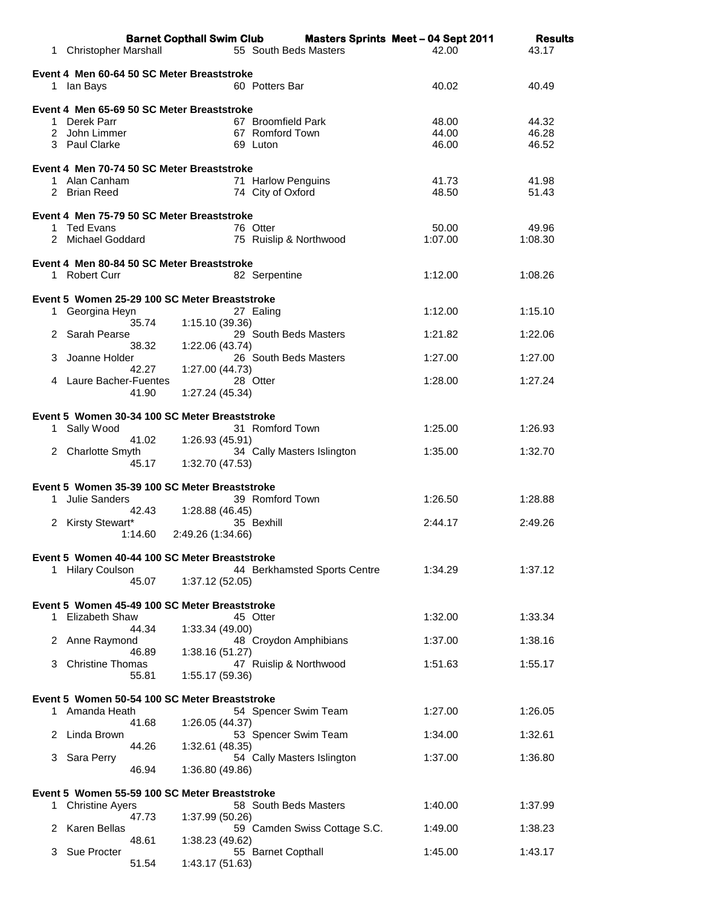|                                                                              | <b>Barnet Copthall Swim Club</b> |                              | <b>Masters Sprints Meet - 04 Sept 2011</b> | <b>Results</b> |
|------------------------------------------------------------------------------|----------------------------------|------------------------------|--------------------------------------------|----------------|
| <b>Christopher Marshall</b><br>1.                                            |                                  | 55 South Beds Masters        | 42.00                                      | 43.17          |
| Event 4 Men 60-64 50 SC Meter Breaststroke                                   |                                  |                              |                                            |                |
| 1 Ian Bays                                                                   |                                  | 60 Potters Bar               | 40.02                                      | 40.49          |
| Event 4 Men 65-69 50 SC Meter Breaststroke                                   |                                  |                              |                                            |                |
| 1 Derek Parr                                                                 |                                  | 67 Broomfield Park           | 48.00                                      | 44.32          |
| 2 John Limmer<br>3 Paul Clarke                                               |                                  | 67 Romford Town<br>69 Luton  | 44.00<br>46.00                             | 46.28<br>46.52 |
|                                                                              |                                  |                              |                                            |                |
| Event 4 Men 70-74 50 SC Meter Breaststroke<br>1 Alan Canham                  |                                  | 71 Harlow Penguins           | 41.73                                      | 41.98          |
| 2 Brian Reed                                                                 |                                  | 74 City of Oxford            | 48.50                                      | 51.43          |
|                                                                              |                                  |                              |                                            |                |
| Event 4 Men 75-79 50 SC Meter Breaststroke<br>1 Ted Evans                    |                                  | 76 Otter                     | 50.00                                      | 49.96          |
| 2 Michael Goddard                                                            |                                  | 75 Ruislip & Northwood       | 1:07.00                                    | 1:08.30        |
| Event 4 Men 80-84 50 SC Meter Breaststroke                                   |                                  |                              |                                            |                |
| 1 Robert Curr                                                                |                                  | 82 Serpentine                | 1:12.00                                    | 1:08.26        |
|                                                                              |                                  |                              |                                            |                |
| Event 5 Women 25-29 100 SC Meter Breaststroke<br>Georgina Heyn<br>1.         |                                  | 27 Ealing                    | 1:12.00                                    | 1:15.10        |
|                                                                              | 35.74<br>1:15.10 (39.36)         |                              |                                            |                |
| Sarah Pearse<br>2                                                            | 38.32<br>1:22.06 (43.74)         | 29 South Beds Masters        | 1:21.82                                    | 1:22.06        |
| Joanne Holder<br>3                                                           |                                  | 26 South Beds Masters        | 1:27.00                                    | 1:27.00        |
| 4 Laure Bacher-Fuentes                                                       | 42.27<br>1:27.00 (44.73)         | 28 Otter                     | 1:28.00                                    | 1:27.24        |
|                                                                              | 41.90<br>1:27.24 (45.34)         |                              |                                            |                |
|                                                                              |                                  |                              |                                            |                |
| Event 5 Women 30-34 100 SC Meter Breaststroke<br>Sally Wood<br>1.            |                                  | 31 Romford Town              | 1:25.00                                    | 1:26.93        |
|                                                                              | 1:26.93 (45.91)<br>41.02         |                              |                                            |                |
| 2 Charlotte Smyth                                                            | 45.17<br>1:32.70 (47.53)         | 34 Cally Masters Islington   | 1:35.00                                    | 1:32.70        |
|                                                                              |                                  |                              |                                            |                |
| Event 5 Women 35-39 100 SC Meter Breaststroke<br>Julie Sanders<br>1.         |                                  | 39 Romford Town              | 1:26.50                                    | 1:28.88        |
|                                                                              | 42.43<br>1:28.88 (46.45)         |                              |                                            |                |
| Kirsty Stewart*<br>2                                                         |                                  | 35 Bexhill                   | 2:44.17                                    | 2:49.26        |
|                                                                              | 1:14.60<br>2:49.26 (1:34.66)     |                              |                                            |                |
| Event 5 Women 40-44 100 SC Meter Breaststroke                                |                                  |                              |                                            |                |
| 1 Hilary Coulson                                                             | 45.07<br>1:37.12 (52.05)         | 44 Berkhamsted Sports Centre | 1:34.29                                    | 1:37.12        |
|                                                                              |                                  |                              |                                            |                |
| Event 5 Women 45-49 100 SC Meter Breaststroke<br><b>Elizabeth Shaw</b><br>1. |                                  | 45 Otter                     | 1:32.00                                    | 1:33.34        |
|                                                                              | 44.34<br>1:33.34 (49.00)         |                              |                                            |                |
| Anne Raymond<br>2                                                            |                                  | 48 Croydon Amphibians        | 1:37.00                                    | 1:38.16        |
| <b>Christine Thomas</b><br>3                                                 | 46.89<br>1:38.16 (51.27)         | 47 Ruislip & Northwood       | 1:51.63                                    | 1:55.17        |
|                                                                              | 55.81<br>1:55.17 (59.36)         |                              |                                            |                |
| Event 5 Women 50-54 100 SC Meter Breaststroke                                |                                  |                              |                                            |                |
| 1 Amanda Heath                                                               |                                  | 54 Spencer Swim Team         | 1:27.00                                    | 1:26.05        |
| Linda Brown<br>2                                                             | 41.68<br>1:26.05 (44.37)         | 53 Spencer Swim Team         | 1:34.00                                    | 1:32.61        |
|                                                                              | 44.26<br>1:32.61 (48.35)         |                              |                                            |                |
| Sara Perry<br>3                                                              |                                  | 54 Cally Masters Islington   | 1:37.00                                    | 1:36.80        |
|                                                                              | 46.94<br>1:36.80 (49.86)         |                              |                                            |                |
| Event 5 Women 55-59 100 SC Meter Breaststroke                                |                                  |                              |                                            |                |
| 1.<br><b>Christine Ayers</b>                                                 | 47.73<br>1:37.99 (50.26)         | 58 South Beds Masters        | 1:40.00                                    | 1:37.99        |
| Karen Bellas<br>2                                                            |                                  | 59 Camden Swiss Cottage S.C. | 1:49.00                                    | 1:38.23        |
| Sue Procter<br>3                                                             | 48.61<br>1:38.23 (49.62)         | 55 Barnet Copthall           | 1:45.00                                    | 1:43.17        |
|                                                                              | 51.54<br>1:43.17 (51.63)         |                              |                                            |                |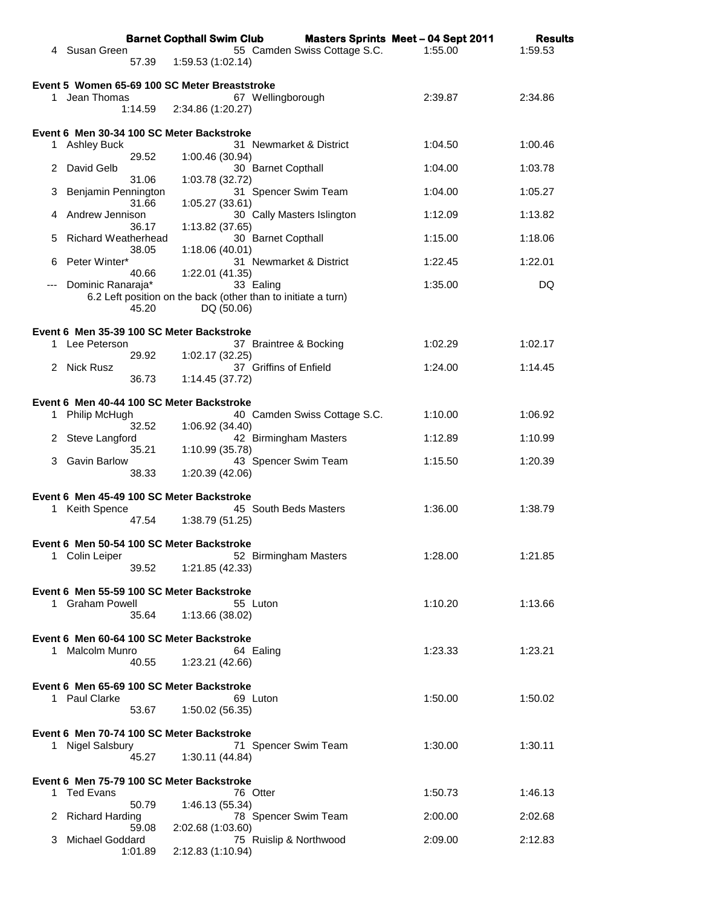|    |                            |         | <b>Barnet Copthall Swim Club</b>                                            |                              | <b>Masters Sprints Meet - 04 Sept 2011</b> | <b>Results</b> |
|----|----------------------------|---------|-----------------------------------------------------------------------------|------------------------------|--------------------------------------------|----------------|
|    | 4 Susan Green              | 57.39   | 1:59.53 (1:02.14)                                                           | 55 Camden Swiss Cottage S.C. | 1:55.00                                    | 1:59.53        |
|    |                            |         | Event 5 Women 65-69 100 SC Meter Breaststroke                               |                              |                                            |                |
|    | 1 Jean Thomas              |         |                                                                             | 67 Wellingborough            | 2:39.87                                    | 2:34.86        |
|    |                            | 1:14.59 | 2:34.86 (1:20.27)                                                           |                              |                                            |                |
|    |                            |         | Event 6 Men 30-34 100 SC Meter Backstroke                                   |                              |                                            |                |
|    | 1 Ashley Buck              |         |                                                                             | 31 Newmarket & District      | 1:04.50                                    | 1:00.46        |
| 2  | David Gelb                 | 29.52   | 1:00.46 (30.94)                                                             | 30 Barnet Copthall           | 1:04.00                                    | 1:03.78        |
| 3  | Benjamin Pennington        | 31.06   | 1:03.78 (32.72)                                                             | 31 Spencer Swim Team         | 1:04.00                                    | 1:05.27        |
| 4  | Andrew Jennison            | 31.66   | 1:05.27 (33.61)                                                             | 30 Cally Masters Islington   | 1:12.09                                    | 1:13.82        |
|    |                            | 36.17   | 1:13.82 (37.65)                                                             |                              |                                            |                |
| 5  | <b>Richard Weatherhead</b> | 38.05   | 1:18.06 (40.01)                                                             | 30 Barnet Copthall           | 1:15.00                                    | 1:18.06        |
| 6  | Peter Winter*              | 40.66   | 1:22.01 (41.35)                                                             | 31 Newmarket & District      | 1:22.45                                    | 1:22.01        |
|    | Dominic Ranaraja*          |         | 33 Ealing                                                                   |                              | 1:35.00                                    | DQ             |
|    |                            | 45.20   | 6.2 Left position on the back (other than to initiate a turn)<br>DQ (50.06) |                              |                                            |                |
|    |                            |         | Event 6 Men 35-39 100 SC Meter Backstroke                                   |                              |                                            |                |
|    | 1 Lee Peterson             | 29.92   | 1:02.17 (32.25)                                                             | 37 Braintree & Bocking       | 1:02.29                                    | 1:02.17        |
|    | 2 Nick Rusz                |         |                                                                             | 37 Griffins of Enfield       | 1:24.00                                    | 1:14.45        |
|    |                            | 36.73   | 1:14.45 (37.72)                                                             |                              |                                            |                |
|    |                            |         | Event 6 Men 40-44 100 SC Meter Backstroke                                   |                              | 1:10.00                                    | 1:06.92        |
| 1  | Philip McHugh              | 32.52   | 1:06.92(34.40)                                                              | 40 Camden Swiss Cottage S.C. |                                            |                |
| 2. | Steve Langford             | 35.21   | 1:10.99 (35.78)                                                             | 42 Birmingham Masters        | 1:12.89                                    | 1:10.99        |
| 3  | <b>Gavin Barlow</b>        | 38.33   | 1:20.39(42.06)                                                              | 43 Spencer Swim Team         | 1:15.50                                    | 1:20.39        |
|    |                            |         |                                                                             |                              |                                            |                |
|    | 1 Keith Spence             |         | Event 6 Men 45-49 100 SC Meter Backstroke                                   | 45 South Beds Masters        | 1:36.00                                    | 1:38.79        |
|    |                            | 47.54   | 1:38.79 (51.25)                                                             |                              |                                            |                |
|    |                            |         | Event 6 Men 50-54 100 SC Meter Backstroke                                   |                              |                                            |                |
|    | 1 Colin Leiper             | 39.52   | 1:21.85 (42.33)                                                             | 52 Birmingham Masters        | 1:28.00                                    | 1:21.85        |
|    |                            |         | Event 6 Men 55-59 100 SC Meter Backstroke                                   |                              |                                            |                |
|    | 1 Graham Powell            |         | 55 Luton                                                                    |                              | 1:10.20                                    | 1:13.66        |
|    |                            | 35.64   | 1:13.66 (38.02)                                                             |                              |                                            |                |
|    |                            |         | Event 6 Men 60-64 100 SC Meter Backstroke                                   |                              |                                            |                |
|    | 1 Malcolm Munro            | 40.55   | 64 Ealing<br>1:23.21 (42.66)                                                |                              | 1:23.33                                    | 1:23.21        |
|    |                            |         | Event 6 Men 65-69 100 SC Meter Backstroke                                   |                              |                                            |                |
|    | 1 Paul Clarke              |         | 69 Luton                                                                    |                              | 1:50.00                                    | 1:50.02        |
|    |                            | 53.67   | 1:50.02 (56.35)                                                             |                              |                                            |                |
|    | 1 Nigel Salsbury           |         | Event 6 Men 70-74 100 SC Meter Backstroke                                   | 71 Spencer Swim Team         | 1:30.00                                    | 1:30.11        |
|    |                            | 45.27   | 1:30.11(44.84)                                                              |                              |                                            |                |
|    |                            |         | Event 6 Men 75-79 100 SC Meter Backstroke                                   |                              |                                            |                |
|    | 1 Ted Evans                |         | 76 Otter                                                                    |                              | 1:50.73                                    | 1:46.13        |
| 2  | <b>Richard Harding</b>     | 50.79   | 1:46.13 (55.34)                                                             | 78 Spencer Swim Team         | 2:00.00                                    | 2:02.68        |
| 3  | Michael Goddard            | 59.08   | 2:02.68 (1:03.60)                                                           | 75 Ruislip & Northwood       | 2:09.00                                    | 2:12.83        |
|    |                            | 1:01.89 | 2:12.83 (1:10.94)                                                           |                              |                                            |                |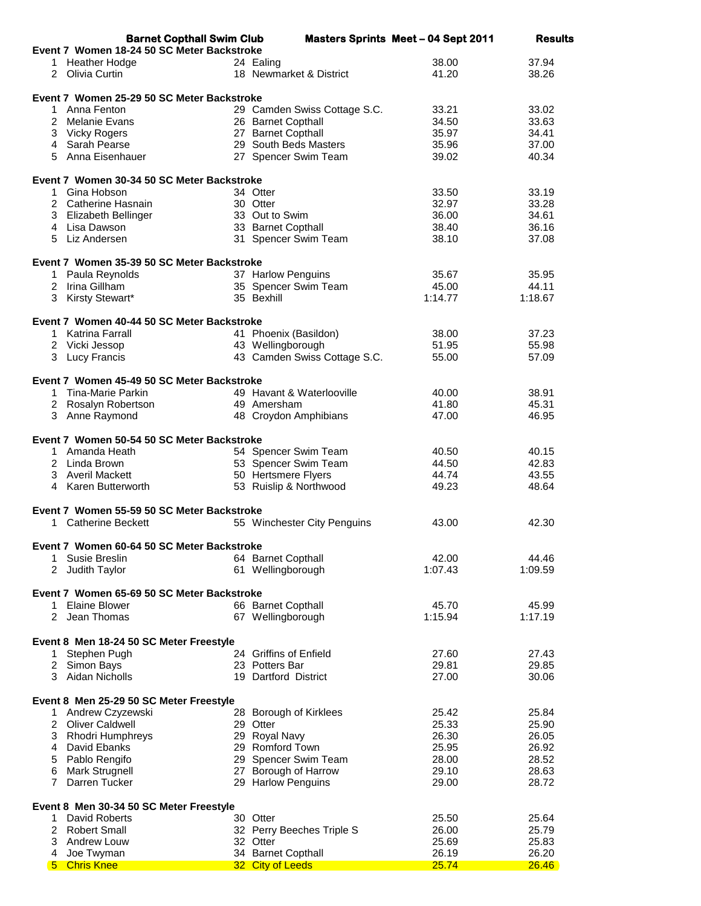| <b>Barnet Copthall Swim Club</b>           |                              | <b>Masters Sprints Meet - 04 Sept 2011</b> | <b>Results</b> |
|--------------------------------------------|------------------------------|--------------------------------------------|----------------|
| Event 7 Women 18-24 50 SC Meter Backstroke |                              |                                            |                |
| 1 Heather Hodge                            | 24 Ealing                    | 38.00                                      | 37.94          |
| 2 Olivia Curtin                            | 18 Newmarket & District      | 41.20                                      | 38.26          |
|                                            |                              |                                            |                |
| Event 7 Women 25-29 50 SC Meter Backstroke |                              |                                            |                |
| 1 Anna Fenton                              | 29 Camden Swiss Cottage S.C. | 33.21                                      | 33.02          |
| 2 Melanie Evans                            | 26 Barnet Copthall           | 34.50                                      | 33.63          |
| 3 Vicky Rogers                             | 27 Barnet Copthall           | 35.97                                      | 34.41          |
| 4 Sarah Pearse                             | 29 South Beds Masters        | 35.96                                      | 37.00          |
| 5 Anna Eisenhauer                          | 27 Spencer Swim Team         | 39.02                                      | 40.34          |
|                                            |                              |                                            |                |
| Event 7 Women 30-34 50 SC Meter Backstroke |                              |                                            |                |
| 1 Gina Hobson                              | 34 Otter                     | 33.50                                      | 33.19          |
| 2 Catherine Hasnain                        | 30 Otter                     | 32.97                                      | 33.28          |
| 3 Elizabeth Bellinger                      | 33 Out to Swim               | 36.00                                      | 34.61          |
| 4 Lisa Dawson                              | 33 Barnet Copthall           | 38.40                                      | 36.16          |
| 5 Liz Andersen                             | 31 Spencer Swim Team         | 38.10                                      | 37.08          |
|                                            |                              |                                            |                |
| Event 7 Women 35-39 50 SC Meter Backstroke |                              |                                            |                |
| 1 Paula Reynolds                           | 37 Harlow Penguins           | 35.67                                      | 35.95          |
| 2 Irina Gillham                            | 35 Spencer Swim Team         | 45.00                                      | 44.11          |
| 3 Kirsty Stewart*                          | 35 Bexhill                   | 1:14.77                                    | 1:18.67        |
|                                            |                              |                                            |                |
|                                            |                              |                                            |                |
| Event 7 Women 40-44 50 SC Meter Backstroke |                              |                                            |                |
| 1 Katrina Farrall                          | 41 Phoenix (Basildon)        | 38.00                                      | 37.23          |
| 2 Vicki Jessop                             | 43 Wellingborough            | 51.95                                      | 55.98          |
| 3 Lucy Francis                             | 43 Camden Swiss Cottage S.C. | 55.00                                      | 57.09          |
|                                            |                              |                                            |                |
| Event 7 Women 45-49 50 SC Meter Backstroke |                              |                                            |                |
| 1 Tina-Marie Parkin                        | 49 Havant & Waterlooville    | 40.00                                      | 38.91          |
| 2 Rosalyn Robertson                        | 49 Amersham                  | 41.80                                      | 45.31          |
| 3 Anne Raymond                             | 48 Croydon Amphibians        | 47.00                                      | 46.95          |
|                                            |                              |                                            |                |
| Event 7 Women 50-54 50 SC Meter Backstroke |                              |                                            |                |
| 1 Amanda Heath                             | 54 Spencer Swim Team         | 40.50                                      | 40.15          |
| 2 Linda Brown                              | 53 Spencer Swim Team         | 44.50                                      | 42.83          |
| 3 Averil Mackett                           | 50 Hertsmere Flyers          | 44.74                                      | 43.55          |
| 4 Karen Butterworth                        | 53 Ruislip & Northwood       | 49.23                                      | 48.64          |
|                                            |                              |                                            |                |
| Event 7 Women 55-59 50 SC Meter Backstroke |                              |                                            |                |
| 1 Catherine Beckett                        | 55 Winchester City Penguins  | 43.00                                      | 42.30          |
|                                            |                              |                                            |                |
| Event 7 Women 60-64 50 SC Meter Backstroke |                              |                                            |                |
| Susie Breslin<br>1                         | 64 Barnet Copthall           | 42.00                                      | 44.46          |
| 2<br>Judith Taylor                         | 61 Wellingborough            | 1:07.43                                    | 1:09.59        |
|                                            |                              |                                            |                |
| Event 7 Women 65-69 50 SC Meter Backstroke |                              |                                            |                |
| <b>Elaine Blower</b><br>1                  | 66 Barnet Copthall           | 45.70                                      | 45.99          |
| 2<br>Jean Thomas                           | 67 Wellingborough            | 1:15.94                                    | 1:17.19        |
|                                            |                              |                                            |                |
| Event 8 Men 18-24 50 SC Meter Freestyle    |                              |                                            |                |
| Stephen Pugh<br>1                          | 24 Griffins of Enfield       | 27.60                                      | 27.43          |
| 2 Simon Bays                               | 23 Potters Bar               | 29.81                                      | 29.85          |
| 3 Aidan Nicholls                           | 19 Dartford District         | 27.00                                      | 30.06          |
|                                            |                              |                                            |                |
| Event 8 Men 25-29 50 SC Meter Freestyle    |                              |                                            |                |
| 1 Andrew Czyzewski                         | 28 Borough of Kirklees       | 25.42                                      | 25.84          |
| 2 Oliver Caldwell                          | 29 Otter                     | 25.33                                      | 25.90          |
| 3 Rhodri Humphreys                         | 29 Royal Navy                | 26.30                                      | 26.05          |
|                                            | 29 Romford Town              |                                            |                |
| David Ebanks<br>4                          |                              | 25.95                                      | 26.92          |
| Pablo Rengifo<br>5                         | 29 Spencer Swim Team         | 28.00                                      | 28.52          |
| 6<br>Mark Strugnell                        | 27 Borough of Harrow         | 29.10                                      | 28.63          |
| 7<br>Darren Tucker                         | 29 Harlow Penguins           | 29.00                                      | 28.72          |
|                                            |                              |                                            |                |
| Event 8 Men 30-34 50 SC Meter Freestyle    |                              |                                            |                |
| David Roberts<br>1.                        | 30 Otter                     | 25.50                                      | 25.64          |
| 2 Robert Small                             | 32 Perry Beeches Triple S    | 26.00                                      | 25.79          |
| 3<br>Andrew Louw                           | 32 Otter                     | 25.69                                      | 25.83          |
| Joe Twyman<br>4                            | 34 Barnet Copthall           | 26.19                                      | 26.20          |
| <b>Chris Knee</b><br>$5 -$                 | 32 City of Leeds             | 25.74                                      | 26.46          |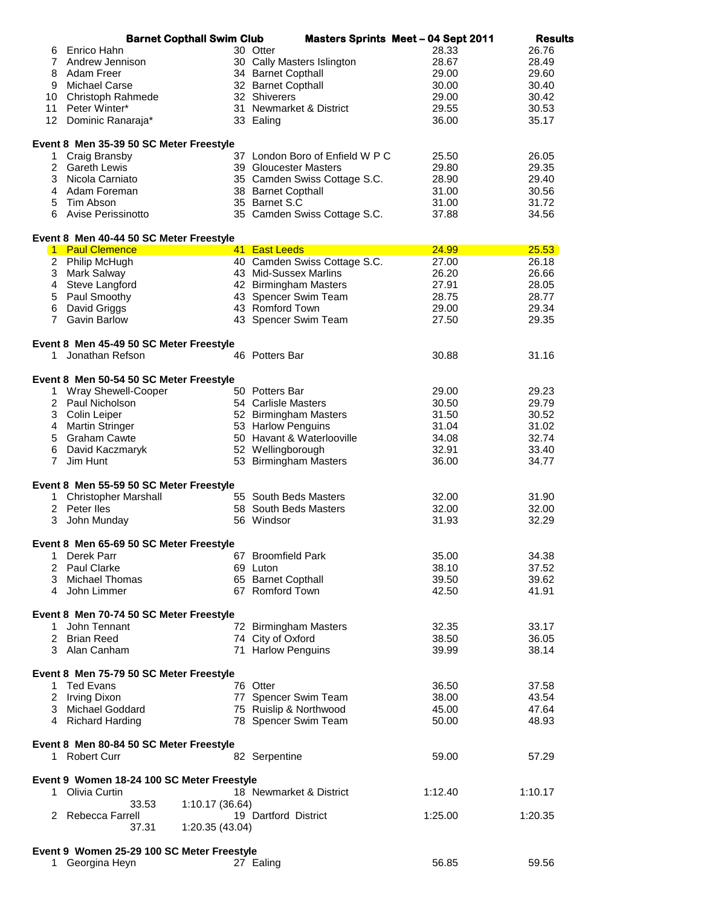|                | <b>Barnet Copthall Swim Club</b>                           |                 |                                 | <b>Masters Sprints Meet - 04 Sept 2011</b> | <b>Results</b> |
|----------------|------------------------------------------------------------|-----------------|---------------------------------|--------------------------------------------|----------------|
| 6              | Enrico Hahn                                                |                 | 30 Otter                        | 28.33                                      | 26.76          |
|                | 7 Andrew Jennison                                          |                 | 30 Cally Masters Islington      | 28.67                                      | 28.49          |
| 8              | Adam Freer                                                 |                 | 34 Barnet Copthall              | 29.00                                      | 29.60          |
|                | 9 Michael Carse                                            |                 | 32 Barnet Copthall              | 30.00                                      | 30.40          |
|                | 10 Christoph Rahmede                                       |                 | 32 Shiverers                    | 29.00                                      | 30.42          |
| 11             | Peter Winter*                                              |                 | 31 Newmarket & District         | 29.55                                      | 30.53          |
|                | 12 Dominic Ranaraja*                                       |                 | 33 Ealing                       | 36.00                                      | 35.17          |
|                |                                                            |                 |                                 |                                            |                |
|                | Event 8 Men 35-39 50 SC Meter Freestyle                    |                 |                                 |                                            |                |
| 1              | Craig Bransby                                              |                 | 37 London Boro of Enfield W P C | 25.50                                      | 26.05          |
|                | 2 Gareth Lewis                                             |                 | 39 Gloucester Masters           | 29.80                                      | 29.35          |
|                | 3 Nicola Carniato                                          |                 | 35 Camden Swiss Cottage S.C.    | 28.90                                      | 29.40          |
|                | 4 Adam Foreman                                             |                 | 38 Barnet Copthall              | 31.00                                      | 30.56          |
| 5              | Tim Abson                                                  |                 | 35 Barnet S.C                   | 31.00                                      | 31.72          |
| 6              | Avise Perissinotto                                         |                 | 35 Camden Swiss Cottage S.C.    | 37.88                                      | 34.56          |
|                |                                                            |                 |                                 |                                            |                |
|                | Event 8 Men 40-44 50 SC Meter Freestyle<br>1 Paul Clemence |                 | 41 East Leeds                   | <b>24.99</b>                               | 25.53          |
|                | 2 Philip McHugh                                            |                 | 40 Camden Swiss Cottage S.C.    | 27.00                                      | 26.18          |
|                | 3 Mark Salway                                              |                 | 43 Mid-Sussex Marlins           | 26.20                                      | 26.66          |
|                | 4 Steve Langford                                           |                 | 42 Birmingham Masters           | 27.91                                      | 28.05          |
|                | 5 Paul Smoothy                                             |                 |                                 |                                            |                |
|                |                                                            |                 | 43 Spencer Swim Team            | 28.75                                      | 28.77          |
| 6              | David Griggs                                               |                 | 43 Romford Town                 | 29.00                                      | 29.34          |
| $\overline{7}$ | <b>Gavin Barlow</b>                                        |                 | 43 Spencer Swim Team            | 27.50                                      | 29.35          |
|                | Event 8 Men 45-49 50 SC Meter Freestyle                    |                 |                                 |                                            |                |
| 1.             | Jonathan Refson                                            |                 | 46 Potters Bar                  | 30.88                                      | 31.16          |
|                |                                                            |                 |                                 |                                            |                |
|                | Event 8 Men 50-54 50 SC Meter Freestyle                    |                 |                                 |                                            |                |
|                | 1 Wray Shewell-Cooper                                      |                 | 50 Potters Bar                  | 29.00                                      | 29.23          |
|                | 2 Paul Nicholson                                           |                 | 54 Carlisle Masters             | 30.50                                      | 29.79          |
|                | 3 Colin Leiper                                             |                 | 52 Birmingham Masters           | 31.50                                      | 30.52          |
|                | 4 Martin Stringer                                          |                 | 53 Harlow Penguins              | 31.04                                      | 31.02          |
|                | 5 Graham Cawte                                             |                 | 50 Havant & Waterlooville       | 34.08                                      | 32.74          |
| 6              | David Kaczmaryk                                            |                 | 52 Wellingborough               | 32.91                                      | 33.40          |
| $\overline{7}$ | Jim Hunt                                                   |                 | 53 Birmingham Masters           | 36.00                                      | 34.77          |
|                |                                                            |                 |                                 |                                            |                |
|                | Event 8 Men 55-59 50 SC Meter Freestyle                    |                 |                                 |                                            |                |
| 1              | <b>Christopher Marshall</b>                                |                 | 55 South Beds Masters           | 32.00                                      | 31.90          |
|                | 2 Peter Iles                                               |                 | 58 South Beds Masters           | 32.00                                      | 32.00          |
| 3 <sup>1</sup> | John Munday                                                |                 | 56 Windsor                      | 31.93                                      | 32.29          |
|                | Event 8 Men 65-69 50 SC Meter Freestyle                    |                 |                                 |                                            |                |
|                | 1 Derek Parr                                               |                 | 67 Broomfield Park              | 35.00                                      | 34.38          |
|                | 2 Paul Clarke                                              |                 | 69 Luton                        | 38.10                                      | 37.52          |
|                | 3 Michael Thomas                                           |                 | 65 Barnet Copthall              | 39.50                                      | 39.62          |
|                | 4 John Limmer                                              |                 | 67 Romford Town                 | 42.50                                      | 41.91          |
|                |                                                            |                 |                                 |                                            |                |
|                | Event 8 Men 70-74 50 SC Meter Freestyle                    |                 |                                 |                                            |                |
| 1              | John Tennant                                               |                 | 72 Birmingham Masters           | 32.35                                      | 33.17          |
|                | 2 Brian Reed                                               |                 | 74 City of Oxford               | 38.50                                      | 36.05          |
|                | 3 Alan Canham                                              |                 | 71 Harlow Penguins              | 39.99                                      | 38.14          |
|                |                                                            |                 |                                 |                                            |                |
|                | Event 8 Men 75-79 50 SC Meter Freestyle                    |                 |                                 |                                            |                |
|                | 1 Ted Evans                                                |                 | 76 Otter                        | 36.50                                      | 37.58          |
|                | 2 Irving Dixon                                             |                 | 77 Spencer Swim Team            | 38.00                                      | 43.54          |
|                | 3 Michael Goddard                                          |                 | 75 Ruislip & Northwood          | 45.00                                      | 47.64          |
|                | 4 Richard Harding                                          |                 | 78 Spencer Swim Team            | 50.00                                      | 48.93          |
|                | Event 8 Men 80-84 50 SC Meter Freestyle                    |                 |                                 |                                            |                |
|                | 1 Robert Curr                                              |                 | 82 Serpentine                   | 59.00                                      | 57.29          |
|                |                                                            |                 |                                 |                                            |                |
|                | Event 9 Women 18-24 100 SC Meter Freestyle                 |                 |                                 |                                            |                |
| 1.             | Olivia Curtin                                              |                 | 18 Newmarket & District         | 1:12.40                                    | 1:10.17        |
|                | 33.53                                                      | 1:10.17 (36.64) |                                 |                                            |                |
|                | 2 Rebecca Farrell                                          |                 | 19 Dartford District            | 1:25.00                                    | 1:20.35        |
|                | 37.31                                                      | 1:20.35 (43.04) |                                 |                                            |                |
|                | Event 9 Women 25-29 100 SC Meter Freestyle                 |                 |                                 |                                            |                |
| 1.             | Georgina Heyn                                              |                 | 27 Ealing                       | 56.85                                      | 59.56          |
|                |                                                            |                 |                                 |                                            |                |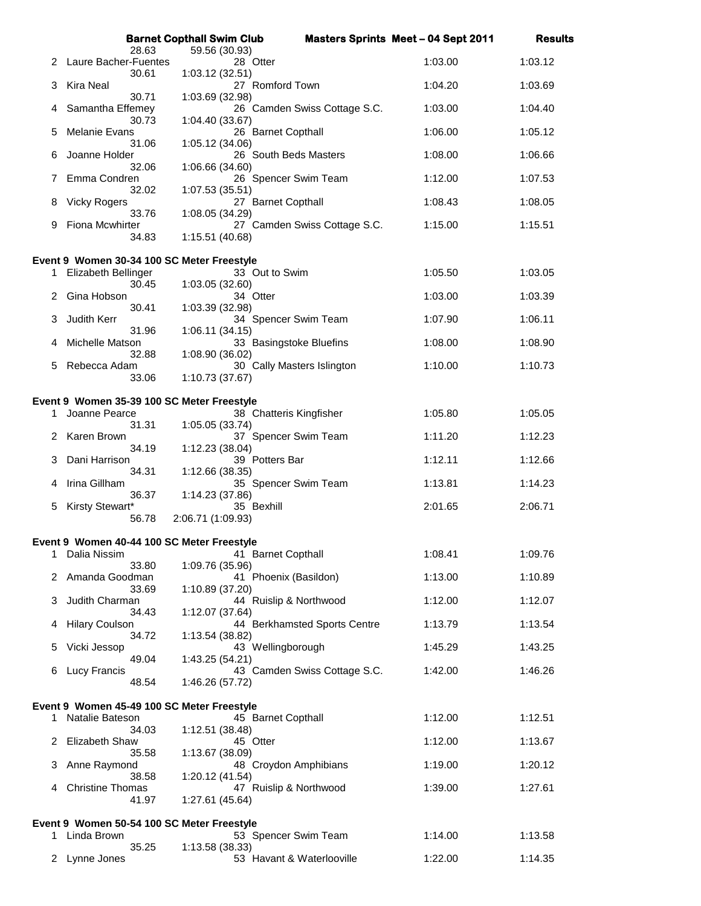|    |                                                                   | <b>Barnet Copthall Swim Club</b>         |                              | <b>Masters Sprints Meet - 04 Sept 2011</b> | <b>Results</b> |
|----|-------------------------------------------------------------------|------------------------------------------|------------------------------|--------------------------------------------|----------------|
| 2  | 28.63<br>Laure Bacher-Fuentes                                     | 59.56 (30.93)<br>28 Otter                |                              | 1:03.00                                    | 1:03.12        |
| З  | 30.61<br>Kira Neal                                                | 1:03.12 (32.51)<br>27 Romford Town       |                              | 1:04.20                                    | 1:03.69        |
| 4  | 30.71<br>Samantha Effemey                                         | 1:03.69 (32.98)                          | 26 Camden Swiss Cottage S.C. | 1:03.00                                    | 1:04.40        |
| 5  | 30.73<br><b>Melanie Evans</b>                                     | 1:04.40 (33.67)<br>26 Barnet Copthall    |                              | 1:06.00                                    | 1:05.12        |
| 6  | 31.06<br>Joanne Holder                                            | 1:05.12 (34.06)                          | 26 South Beds Masters        | 1:08.00                                    | 1:06.66        |
| 7  | 32.06<br>Emma Condren                                             | 1:06.66 (34.60)                          | 26 Spencer Swim Team         | 1:12.00                                    | 1:07.53        |
| 8  | 32.02<br><b>Vicky Rogers</b>                                      | 1:07.53 (35.51)<br>27 Barnet Copthall    |                              | 1:08.43                                    | 1:08.05        |
| 9  | 33.76<br><b>Fiona Mcwhirter</b>                                   | 1:08.05 (34.29)                          | 27 Camden Swiss Cottage S.C. | 1:15.00                                    | 1:15.51        |
|    | 34.83                                                             | 1:15.51 (40.68)                          |                              |                                            |                |
| 1  | Event 9 Women 30-34 100 SC Meter Freestyle<br>Elizabeth Bellinger | 33 Out to Swim                           |                              | 1:05.50                                    | 1:03.05        |
| 2  | 30.45<br>Gina Hobson                                              | 1:03.05 (32.60)<br>34 Otter              |                              | 1:03.00                                    | 1:03.39        |
|    | 30.41                                                             | 1:03.39 (32.98)                          |                              |                                            |                |
| 3  | Judith Kerr<br>31.96                                              | 1:06.11 (34.15)                          | 34 Spencer Swim Team         | 1:07.90                                    | 1:06.11        |
| 4  | Michelle Matson<br>32.88                                          | 1:08.90 (36.02)                          | 33 Basingstoke Bluefins      | 1:08.00                                    | 1:08.90        |
| 5  | Rebecca Adam<br>33.06                                             | 1:10.73 (37.67)                          | 30 Cally Masters Islington   | 1:10.00                                    | 1:10.73        |
|    | Event 9 Women 35-39 100 SC Meter Freestyle                        |                                          |                              |                                            |                |
| 1. | Joanne Pearce                                                     | 38 Chatteris Kingfisher                  |                              | 1:05.80                                    | 1:05.05        |
|    | 31.31<br>Karen Brown                                              | 1:05.05 (33.74)                          | 37 Spencer Swim Team         | 1:11.20                                    | 1:12.23        |
| 3  | 34.19<br>Dani Harrison                                            | 1:12.23(38.04)<br>39 Potters Bar         |                              | 1:12.11                                    | 1:12.66        |
| 4  | 34.31<br>Irina Gillham                                            | 1:12.66 (38.35)                          | 35 Spencer Swim Team         | 1:13.81                                    | 1:14.23        |
| 5  | 36.37<br>Kirsty Stewart*                                          | 1:14.23 (37.86)<br>35 Bexhill            |                              | 2:01.65                                    | 2:06.71        |
|    | 56.78                                                             | 2:06.71 (1:09.93)                        |                              |                                            |                |
| 1  | Event 9 Women 40-44 100 SC Meter Freestyle<br>Dalia Nissim        | 41 Barnet Copthall                       |                              | 1:08.41                                    | 1:09.76        |
| 2  | 33.80<br>Amanda Goodman                                           | 1:09.76 (35.96)<br>41 Phoenix (Basildon) |                              | 1:13.00                                    | 1:10.89        |
| 3  | 33.69<br>Judith Charman                                           | 1:10.89 (37.20)                          | 44 Ruislip & Northwood       | 1:12.00                                    | 1:12.07        |
| 4  | 34.43<br><b>Hilary Coulson</b>                                    | 1:12.07 (37.64)                          | 44 Berkhamsted Sports Centre | 1:13.79                                    | 1:13.54        |
| 5  | 34.72<br>Vicki Jessop                                             | 1:13.54 (38.82)<br>43 Wellingborough     |                              | 1:45.29                                    | 1:43.25        |
| 6  | 49.04<br>Lucy Francis                                             | 1:43.25 (54.21)                          | 43 Camden Swiss Cottage S.C. | 1:42.00                                    | 1:46.26        |
|    | 48.54                                                             | 1:46.26 (57.72)                          |                              |                                            |                |
|    | Event 9 Women 45-49 100 SC Meter Freestyle                        |                                          |                              |                                            |                |
| 1  | Natalie Bateson<br>34.03                                          | 45 Barnet Copthall<br>1:12.51 (38.48)    |                              | 1:12.00                                    | 1:12.51        |
| 2  | <b>Elizabeth Shaw</b><br>35.58                                    | 45 Otter<br>1:13.67 (38.09)              |                              | 1:12.00                                    | 1:13.67        |
| 3  | Anne Raymond<br>38.58                                             |                                          | 48 Croydon Amphibians        | 1:19.00                                    | 1:20.12        |
| 4  | <b>Christine Thomas</b><br>41.97                                  | 1:20.12 (41.54)<br>1:27.61 (45.64)       | 47 Ruislip & Northwood       | 1:39.00                                    | 1:27.61        |
|    |                                                                   |                                          |                              |                                            |                |
|    | Event 9 Women 50-54 100 SC Meter Freestyle<br>1 Linda Brown       |                                          | 53 Spencer Swim Team         | 1:14.00                                    | 1:13.58        |
| 2  | 35.25<br>Lynne Jones                                              | 1:13.58 (38.33)                          | 53 Havant & Waterlooville    | 1:22.00                                    | 1:14.35        |
|    |                                                                   |                                          |                              |                                            |                |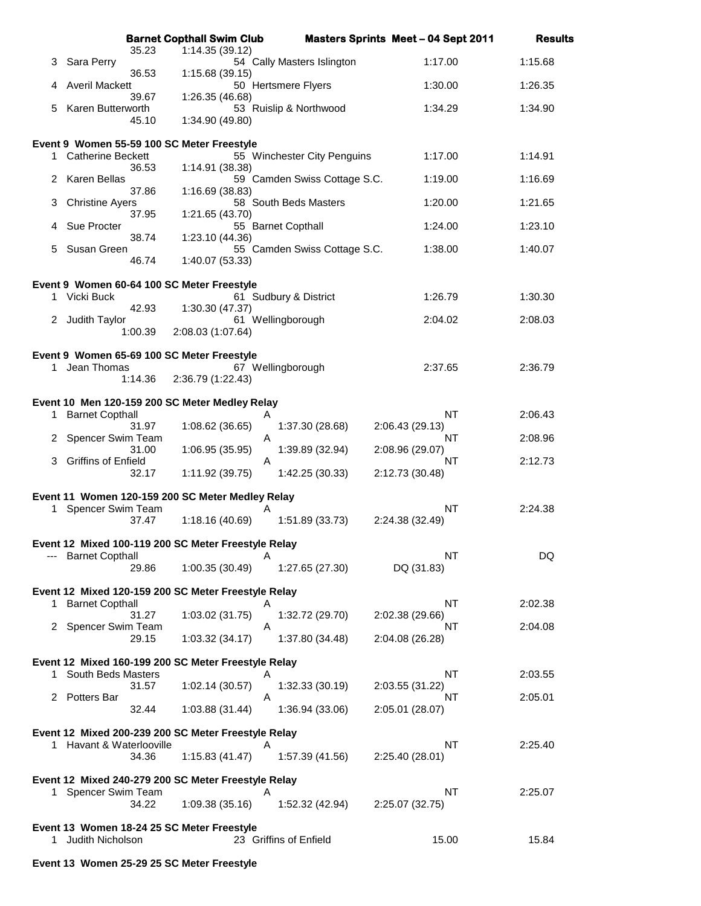|    |                                                                | <b>Barnet Copthall Swim Club</b>                         |                              | <b>Masters Sprints Meet - 04 Sept 2011</b> | <b>Results</b> |
|----|----------------------------------------------------------------|----------------------------------------------------------|------------------------------|--------------------------------------------|----------------|
| 3. | 35.23<br>Sara Perry                                            | 1:14.35 (39.12)                                          | 54 Cally Masters Islington   | 1:17.00                                    | 1:15.68        |
| 4  | 36.53<br><b>Averil Mackett</b>                                 | 1:15.68 (39.15)                                          | 50 Hertsmere Flyers          | 1:30.00                                    | 1:26.35        |
|    | 39.67<br>Karen Butterworth                                     | 1:26.35 (46.68)                                          |                              | 1:34.29                                    |                |
| 5. | 45.10                                                          | 1:34.90 (49.80)                                          | 53 Ruislip & Northwood       |                                            | 1:34.90        |
|    | Event 9 Women 55-59 100 SC Meter Freestyle                     |                                                          |                              |                                            |                |
|    | 1 Catherine Beckett<br>36.53                                   | 1:14.91 (38.38)                                          | 55 Winchester City Penguins  | 1:17.00                                    | 1:14.91        |
| 2  | Karen Bellas<br>37.86                                          | 1:16.69 (38.83)                                          | 59 Camden Swiss Cottage S.C. | 1:19.00                                    | 1:16.69        |
| 3. | <b>Christine Ayers</b>                                         |                                                          | 58 South Beds Masters        | 1:20.00                                    | 1:21.65        |
| 4  | 37.95<br>Sue Procter                                           | 1:21.65 (43.70)<br>55 Barnet Copthall                    |                              | 1:24.00                                    | 1:23.10        |
| 5. | 38.74<br>Susan Green                                           | 1:23.10 (44.36)                                          | 55 Camden Swiss Cottage S.C. | 1:38.00                                    | 1:40.07        |
|    | 46.74                                                          | 1:40.07 (53.33)                                          |                              |                                            |                |
|    | Event 9 Women 60-64 100 SC Meter Freestyle                     |                                                          |                              |                                            |                |
|    | 1 Vicki Buck<br>42.93                                          | 1:30.30 (47.37)                                          | 61 Sudbury & District        | 1:26.79                                    | 1:30.30        |
|    | 2 Judith Taylor<br>1:00.39                                     | 61 Wellingborough<br>2:08.03 (1:07.64)                   |                              | 2:04.02                                    | 2:08.03        |
|    | Event 9 Women 65-69 100 SC Meter Freestyle                     |                                                          |                              |                                            |                |
|    | 1 Jean Thomas                                                  | 67 Wellingborough                                        |                              | 2:37.65                                    | 2:36.79        |
|    | 1:14.36                                                        | 2:36.79 (1:22.43)                                        |                              |                                            |                |
| 1  | <b>Barnet Copthall</b>                                         | Event 10 Men 120-159 200 SC Meter Medley Relay<br>Α      |                              | <b>NT</b>                                  | 2:06.43        |
|    | 31.97<br>Spencer Swim Team                                     | 1:08.62 (36.65)<br>Α                                     | 1:37.30 (28.68)              | 2:06.43 (29.13)<br>NT                      | 2:08.96        |
|    | 31.00<br><b>Griffins of Enfield</b>                            | 1:06.95 (35.95)                                          | 1:39.89 (32.94)              | 2:08.96 (29.07)<br>NT                      | 2:12.73        |
| 3. | 32.17                                                          | A<br>1:11.92(39.75)                                      | 1:42.25 (30.33)              | 2:12.73 (30.48)                            |                |
|    |                                                                | Event 11 Women 120-159 200 SC Meter Medley Relay         |                              |                                            |                |
| 1. | Spencer Swim Team<br>37.47                                     | A<br>1:18.16 (40.69)                                     | 1:51.89 (33.73)              | NT<br>2:24.38 (32.49)                      | 2:24.38        |
|    |                                                                | Event 12 Mixed 100-119 200 SC Meter Freestyle Relay      |                              |                                            |                |
|    | --- Barnet Copthall                                            | A                                                        |                              | NT                                         | DQ             |
|    | 29.86                                                          | 1:00.35 (30.49)                                          | 1:27.65 (27.30)              | DQ (31.83)                                 |                |
| 1. | <b>Barnet Copthall</b>                                         | Event 12 Mixed 120-159 200 SC Meter Freestyle Relay<br>Α |                              | NT                                         | 2:02.38        |
|    | 31.27<br>2 Spencer Swim Team                                   | 1:03.02 (31.75)<br>A                                     | 1:32.72 (29.70)              | 2:02.38 (29.66)<br>NT                      | 2:04.08        |
|    | 29.15                                                          | 1:03.32(34.17)                                           | 1:37.80 (34.48)              | 2:04.08 (26.28)                            |                |
|    |                                                                | Event 12 Mixed 160-199 200 SC Meter Freestyle Relay      |                              |                                            |                |
| 1. | South Beds Masters<br>31.57                                    | Α<br>1:02.14(30.57)                                      | 1:32.33(30.19)               | NT<br>2:03.55 (31.22)                      | 2:03.55        |
|    | 2 Potters Bar<br>32.44                                         | Α<br>1:03.88 (31.44)                                     | 1:36.94 (33.06)              | NT<br>2:05.01 (28.07)                      | 2:05.01        |
|    |                                                                |                                                          |                              |                                            |                |
|    | 1 Havant & Waterlooville                                       | Event 12 Mixed 200-239 200 SC Meter Freestyle Relay<br>Α |                              | NT                                         | 2:25.40        |
|    | 34.36                                                          | 1:15.83(41.47)                                           | 1:57.39 (41.56)              | 2:25.40 (28.01)                            |                |
|    |                                                                | Event 12 Mixed 240-279 200 SC Meter Freestyle Relay      |                              |                                            |                |
|    | 1 Spencer Swim Team<br>34.22                                   | A<br>1:09.38(35.16)                                      | 1:52.32 (42.94)              | <b>NT</b><br>2:25.07 (32.75)               | 2:25.07        |
|    |                                                                |                                                          |                              |                                            |                |
| 1. | Event 13 Women 18-24 25 SC Meter Freestyle<br>Judith Nicholson |                                                          | 23 Griffins of Enfield       | 15.00                                      | 15.84          |
|    |                                                                |                                                          |                              |                                            |                |

## **Event 13 Women 25-29 25 SC Meter Freestyle**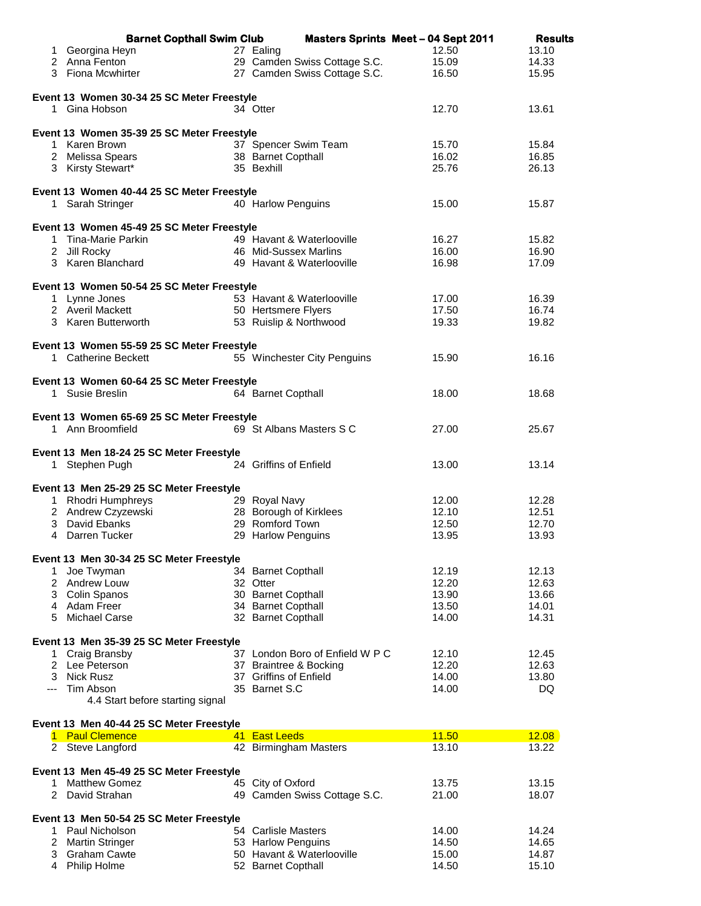|    | <b>Barnet Copthall Swim Club</b>                            | <b>Masters Sprints Meet - 04 Sept 2011</b> |                | <b>Results</b> |
|----|-------------------------------------------------------------|--------------------------------------------|----------------|----------------|
|    | 1 Georgina Heyn                                             | 27 Ealing                                  | 12.50          | 13.10          |
|    | 2 Anna Fenton                                               | 29 Camden Swiss Cottage S.C.               | 15.09          | 14.33          |
|    | 3 Fiona Mcwhirter                                           | 27 Camden Swiss Cottage S.C.               | 16.50          | 15.95          |
|    |                                                             |                                            |                |                |
|    | Event 13 Women 30-34 25 SC Meter Freestyle<br>1 Gina Hobson | 34 Otter                                   | 12.70          | 13.61          |
|    |                                                             |                                            |                |                |
|    | Event 13 Women 35-39 25 SC Meter Freestyle                  |                                            |                |                |
|    | 1 Karen Brown                                               | 37 Spencer Swim Team                       | 15.70          | 15.84          |
|    | 2 Melissa Spears                                            | 38 Barnet Copthall                         | 16.02          | 16.85          |
|    | 3 Kirsty Stewart*                                           | 35 Bexhill                                 | 25.76          | 26.13          |
|    |                                                             |                                            |                |                |
|    | Event 13 Women 40-44 25 SC Meter Freestyle                  |                                            |                |                |
|    | 1 Sarah Stringer                                            | 40 Harlow Penguins                         | 15.00          | 15.87          |
|    | Event 13 Women 45-49 25 SC Meter Freestyle                  |                                            |                |                |
|    | 1 Tina-Marie Parkin                                         | 49 Havant & Waterlooville                  | 16.27          | 15.82          |
|    | 2 Jill Rocky                                                | 46 Mid-Sussex Marlins                      | 16.00          | 16.90          |
|    | 3 Karen Blanchard                                           | 49 Havant & Waterlooville                  | 16.98          | 17.09          |
|    |                                                             |                                            |                |                |
|    | Event 13 Women 50-54 25 SC Meter Freestyle                  | 53 Havant & Waterlooville                  |                |                |
|    | 1 Lynne Jones<br>2 Averil Mackett                           | 50 Hertsmere Flyers                        | 17.00<br>17.50 | 16.39<br>16.74 |
|    | 3 Karen Butterworth                                         | 53 Ruislip & Northwood                     | 19.33          | 19.82          |
|    |                                                             |                                            |                |                |
|    | Event 13 Women 55-59 25 SC Meter Freestyle                  |                                            |                |                |
|    | 1 Catherine Beckett                                         | 55 Winchester City Penguins                | 15.90          | 16.16          |
|    |                                                             |                                            |                |                |
|    | Event 13 Women 60-64 25 SC Meter Freestyle                  |                                            |                |                |
|    | 1 Susie Breslin                                             | 64 Barnet Copthall                         | 18.00          | 18.68          |
|    | Event 13 Women 65-69 25 SC Meter Freestyle                  |                                            |                |                |
|    | 1 Ann Broomfield                                            | 69 St Albans Masters S C                   | 27.00          | 25.67          |
|    |                                                             |                                            |                |                |
|    | Event 13 Men 18-24 25 SC Meter Freestyle                    |                                            |                |                |
| 1. | Stephen Pugh                                                | 24 Griffins of Enfield                     | 13.00          | 13.14          |
|    |                                                             |                                            |                |                |
|    | Event 13 Men 25-29 25 SC Meter Freestyle                    |                                            |                |                |
|    | 1 Rhodri Humphreys                                          | 29 Royal Navy<br>28 Borough of Kirklees    | 12.00<br>12.10 | 12.28<br>12.51 |
|    | 2 Andrew Czyzewski<br>3 David Ebanks                        | 29 Romford Town                            | 12.50          | 12.70          |
|    | 4 Darren Tucker                                             | 29 Harlow Penguins                         | 13.95          | 13.93          |
|    |                                                             |                                            |                |                |
|    | Event 13 Men 30-34 25 SC Meter Freestyle                    |                                            |                |                |
| 1. | Joe Twyman                                                  | 34 Barnet Copthall                         | 12.19          | 12.13          |
|    | 2 Andrew Louw                                               | 32 Otter                                   | 12.20          | 12.63          |
|    | 3 Colin Spanos                                              | 30 Barnet Copthall                         | 13.90          | 13.66          |
| 5  | 4 Adam Freer<br>Michael Carse                               | 34 Barnet Copthall<br>32 Barnet Copthall   | 13.50<br>14.00 | 14.01<br>14.31 |
|    |                                                             |                                            |                |                |
|    | Event 13 Men 35-39 25 SC Meter Freestyle                    |                                            |                |                |
| 1. | Craig Bransby                                               | 37 London Boro of Enfield W P C            | 12.10          | 12.45          |
|    | 2 Lee Peterson                                              | 37 Braintree & Bocking                     | 12.20          | 12.63          |
|    | 3 Nick Rusz                                                 | 37 Griffins of Enfield                     | 14.00          | 13.80          |
|    | --- Tim Abson                                               | 35 Barnet S.C                              | 14.00          | DQ             |
|    | 4.4 Start before starting signal                            |                                            |                |                |
|    | Event 13 Men 40-44 25 SC Meter Freestyle                    |                                            |                |                |
|    | 1 Paul Clemence                                             | 41 East Leeds                              | 11.50          | 12.08          |
|    | 2 Steve Langford                                            | 42 Birmingham Masters                      | 13.10          | 13.22          |
|    |                                                             |                                            |                |                |
|    | Event 13 Men 45-49 25 SC Meter Freestyle                    |                                            |                |                |
| 1  | <b>Matthew Gomez</b>                                        | 45 City of Oxford                          | 13.75          | 13.15          |
|    | 2 David Strahan                                             | 49 Camden Swiss Cottage S.C.               | 21.00          | 18.07          |
|    | Event 13 Men 50-54 25 SC Meter Freestyle                    |                                            |                |                |
|    | 1 Paul Nicholson                                            | 54 Carlisle Masters                        | 14.00          | 14.24          |
|    | 2 Martin Stringer                                           | 53 Harlow Penguins                         | 14.50          | 14.65          |
|    | 3 Graham Cawte                                              | 50 Havant & Waterlooville                  | 15.00          | 14.87          |
|    | 4 Philip Holme                                              | 52 Barnet Copthall                         | 14.50          | 15.10          |
|    |                                                             |                                            |                |                |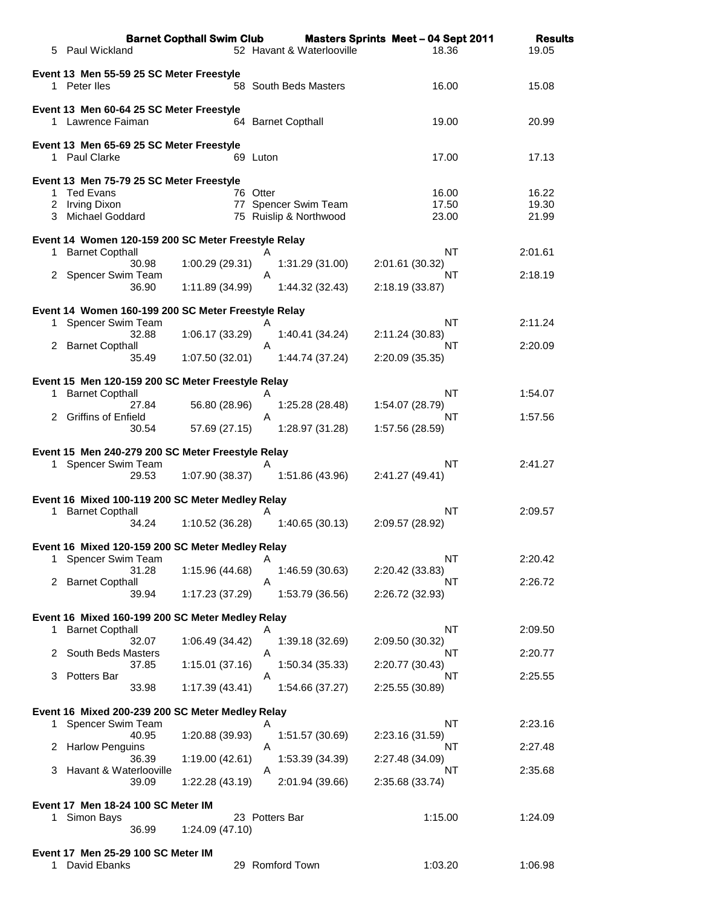|    | 5 Paul Wickland                                                          | <b>Barnet Copthall Swim Club</b> | 52 Havant & Waterlooville     | <b>Masters Sprints Meet - 04 Sept 2011</b><br>18.36 | <b>Results</b><br>19.05 |
|----|--------------------------------------------------------------------------|----------------------------------|-------------------------------|-----------------------------------------------------|-------------------------|
|    | Event 13 Men 55-59 25 SC Meter Freestyle<br>1 Peter lles                 |                                  | 58 South Beds Masters         | 16.00                                               | 15.08                   |
|    |                                                                          |                                  |                               |                                                     |                         |
|    | Event 13 Men 60-64 25 SC Meter Freestyle<br>1 Lawrence Faiman            |                                  | 64 Barnet Copthall            | 19.00                                               | 20.99                   |
|    | Event 13 Men 65-69 25 SC Meter Freestyle                                 |                                  |                               |                                                     |                         |
|    | 1 Paul Clarke                                                            |                                  | 69 Luton                      | 17.00                                               | 17.13                   |
|    | Event 13 Men 75-79 25 SC Meter Freestyle                                 |                                  |                               |                                                     |                         |
|    | 1 Ted Evans<br>2 Irving Dixon                                            | 77                               | 76 Otter<br>Spencer Swim Team | 16.00<br>17.50                                      | 16.22<br>19.30          |
| 3  | Michael Goddard                                                          |                                  | 75 Ruislip & Northwood        | 23.00                                               | 21.99                   |
|    |                                                                          |                                  |                               |                                                     |                         |
|    | Event 14 Women 120-159 200 SC Meter Freestyle Relay<br>1 Barnet Copthall |                                  | Α                             | <b>NT</b>                                           | 2:01.61                 |
|    | 30.98                                                                    | 1:00.29 (29.31)                  | 1:31.29 (31.00)               | 2:01.61 (30.32)                                     |                         |
|    | 2 Spencer Swim Team<br>36.90                                             | 1:11.89 (34.99)                  | A<br>1:44.32 (32.43)          | NT<br>2:18.19 (33.87)                               | 2:18.19                 |
|    |                                                                          |                                  |                               |                                                     |                         |
|    | Event 14 Women 160-199 200 SC Meter Freestyle Relay                      |                                  | A                             | <b>NT</b>                                           | 2:11.24                 |
|    | 1 Spencer Swim Team<br>32.88                                             | 1:06.17 (33.29)                  | 1:40.41 (34.24)               | 2:11.24 (30.83)                                     |                         |
|    | 2 Barnet Copthall                                                        |                                  | A                             | NT                                                  | 2:20.09                 |
|    | 35.49                                                                    | 1:07.50 (32.01)                  | 1:44.74 (37.24)               | 2:20.09 (35.35)                                     |                         |
|    | Event 15 Men 120-159 200 SC Meter Freestyle Relay                        |                                  |                               |                                                     |                         |
| 1. | <b>Barnet Copthall</b><br>27.84                                          | 56.80 (28.96)                    | Α<br>1:25.28(28.48)           | NT<br>1:54.07 (28.79)                               | 1:54.07                 |
| 2  | <b>Griffins of Enfield</b>                                               |                                  | Α                             | <b>NT</b>                                           | 1:57.56                 |
|    | 30.54                                                                    | 57.69 (27.15)                    | 1:28.97 (31.28)               | 1:57.56 (28.59)                                     |                         |
|    | Event 15 Men 240-279 200 SC Meter Freestyle Relay                        |                                  |                               |                                                     |                         |
|    | 1 Spencer Swim Team                                                      |                                  | Α                             | NT                                                  | 2:41.27                 |
|    | 29.53                                                                    | 1:07.90 (38.37)                  | 1:51.86 (43.96)               | 2:41.27 (49.41)                                     |                         |
|    | Event 16 Mixed 100-119 200 SC Meter Medley Relay                         |                                  |                               |                                                     |                         |
| 1  | <b>Barnet Copthall</b>                                                   |                                  | A                             | <b>NT</b>                                           | 2:09.57                 |
|    | 34.24                                                                    | 1:10.52 (36.28)                  | 1:40.65(30.13)                | 2:09.57 (28.92)                                     |                         |
|    | Event 16 Mixed 120-159 200 SC Meter Medley Relay                         |                                  |                               |                                                     |                         |
| 1  | Spencer Swim Team<br>31.28                                               | 1:15.96 (44.68)                  | Α<br>1:46.59 (30.63)          | NT<br>2:20.42 (33.83)                               | 2:20.42                 |
| 2  | <b>Barnet Copthall</b>                                                   |                                  | A                             | NT                                                  | 2:26.72                 |
|    | 39.94                                                                    | 1:17.23 (37.29)                  | 1:53.79 (36.56)               | 2:26.72 (32.93)                                     |                         |
|    | Event 16 Mixed 160-199 200 SC Meter Medley Relay                         |                                  |                               |                                                     |                         |
| 1. | <b>Barnet Copthall</b>                                                   |                                  | Α                             | <b>NT</b>                                           | 2:09.50                 |
| 2  | 32.07<br>South Beds Masters                                              | 1:06.49 (34.42)                  | 1:39.18 (32.69)<br>Α          | 2:09.50 (30.32)<br>NT                               | 2:20.77                 |
|    | 37.85                                                                    | 1:15.01 (37.16)                  | 1:50.34 (35.33)               | 2:20.77 (30.43)                                     |                         |
| 3  | Potters Bar<br>33.98                                                     | 1:17.39 (43.41)                  | Α<br>1:54.66 (37.27)          | NT<br>2:25.55 (30.89)                               | 2:25.55                 |
|    |                                                                          |                                  |                               |                                                     |                         |
|    | Event 16 Mixed 200-239 200 SC Meter Medley Relay                         |                                  |                               |                                                     |                         |
| 1  | Spencer Swim Team<br>40.95                                               | 1:20.88 (39.93)                  | Α<br>1:51.57 (30.69)          | <b>NT</b><br>2:23.16 (31.59)                        | 2:23.16                 |
| 2  | <b>Harlow Penguins</b>                                                   |                                  | A                             | NT                                                  | 2:27.48                 |
| 3  | 36.39<br>Havant & Waterlooville                                          | 1:19.00 (42.61)                  | 1:53.39 (34.39)<br>A          | 2:27.48 (34.09)<br>NT                               | 2:35.68                 |
|    | 39.09                                                                    | 1:22.28 (43.19)                  | 2:01.94 (39.66)               | 2:35.68 (33.74)                                     |                         |
|    | Event 17 Men 18-24 100 SC Meter IM                                       |                                  |                               |                                                     |                         |
| 1. | Simon Bays                                                               |                                  | 23 Potters Bar                | 1:15.00                                             | 1:24.09                 |
|    | 36.99                                                                    | 1:24.09 (47.10)                  |                               |                                                     |                         |
|    | Event 17 Men 25-29 100 SC Meter IM                                       |                                  |                               |                                                     |                         |
| 1  | David Ebanks                                                             |                                  | 29 Romford Town               | 1:03.20                                             | 1:06.98                 |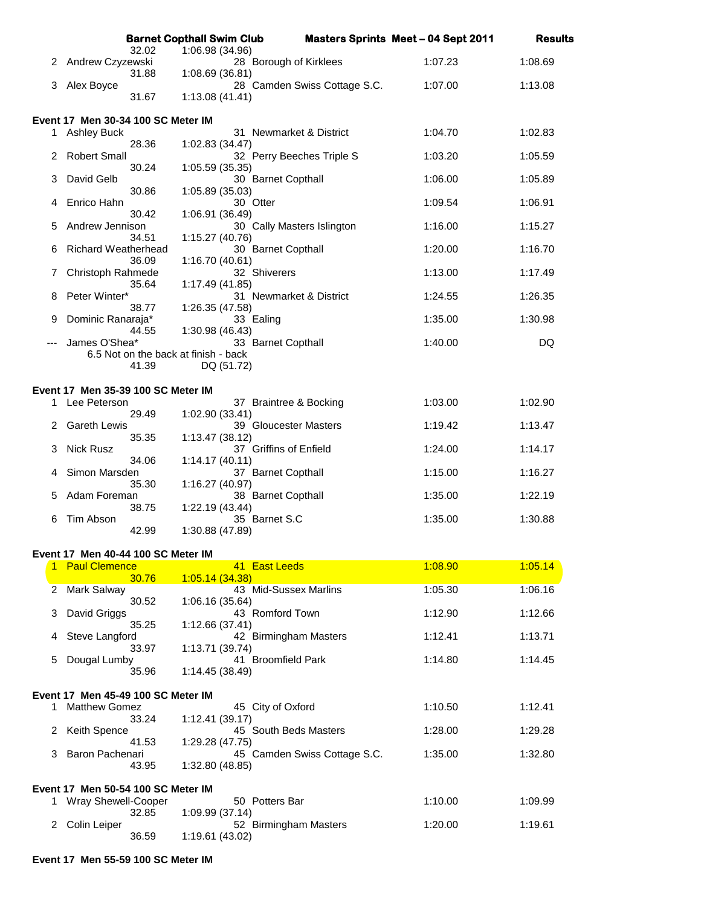|     |                                                    |       | <b>Barnet Copthall Swim Club</b>     |                              | <b>Masters Sprints Meet - 04 Sept 2011</b> | <b>Results</b> |
|-----|----------------------------------------------------|-------|--------------------------------------|------------------------------|--------------------------------------------|----------------|
| 2   | Andrew Czyzewski                                   | 32.02 | 1:06.98 (34.96)                      | 28 Borough of Kirklees       | 1:07.23                                    | 1:08.69        |
| 3   | Alex Boyce                                         | 31.88 | 1:08.69(36.81)                       | 28 Camden Swiss Cottage S.C. | 1:07.00                                    | 1:13.08        |
|     |                                                    | 31.67 | 1:13.08(41.41)                       |                              |                                            |                |
|     | Event 17 Men 30-34 100 SC Meter IM                 |       |                                      |                              |                                            |                |
| 1.  | <b>Ashley Buck</b>                                 | 28.36 |                                      | 31 Newmarket & District      | 1:04.70                                    | 1:02.83        |
| 2   | <b>Robert Small</b>                                |       | 1:02.83 (34.47)                      | 32 Perry Beeches Triple S    | 1:03.20                                    | 1:05.59        |
| 3   | David Gelb                                         | 30.24 | 1:05.59 (35.35)                      | 30 Barnet Copthall           | 1:06.00                                    | 1:05.89        |
| 4   | Enrico Hahn                                        | 30.86 | 1:05.89 (35.03)                      | 30 Otter                     | 1:09.54                                    | 1:06.91        |
| 5   | Andrew Jennison                                    | 30.42 | 1:06.91 (36.49)                      | 30 Cally Masters Islington   | 1:16.00                                    | 1:15.27        |
| 6   | <b>Richard Weatherhead</b>                         | 34.51 | 1:15.27 (40.76)                      | 30 Barnet Copthall           | 1:20.00                                    | 1:16.70        |
|     |                                                    | 36.09 | 1:16.70 (40.61)                      | 32 Shiverers                 | 1:13.00                                    | 1:17.49        |
| 7   | Christoph Rahmede                                  | 35.64 | 1:17.49 (41.85)                      |                              |                                            |                |
| 8   | Peter Winter*                                      |       |                                      | 31 Newmarket & District      | 1:24.55                                    | 1:26.35        |
| 9   | Dominic Ranaraja*                                  | 38.77 | 1:26.35 (47.58)                      | 33 Ealing                    | 1:35.00                                    | 1:30.98        |
| --- | James O'Shea*                                      | 44.55 | 1:30.98 (46.43)                      | 33 Barnet Copthall           | 1:40.00                                    | DQ             |
|     |                                                    |       | 6.5 Not on the back at finish - back |                              |                                            |                |
|     |                                                    | 41.39 | DQ (51.72)                           |                              |                                            |                |
| 1   | Event 17 Men 35-39 100 SC Meter IM<br>Lee Peterson |       |                                      | 37 Braintree & Bocking       | 1:03.00                                    | 1:02.90        |
|     |                                                    | 29.49 | 1:02.90 (33.41)                      |                              |                                            |                |
|     | <b>Gareth Lewis</b>                                | 35.35 | 1:13.47 (38.12)                      | 39 Gloucester Masters        | 1:19.42                                    | 1:13.47        |
| 3   | <b>Nick Rusz</b>                                   | 34.06 | 1:14.17(40.11)                       | 37 Griffins of Enfield       | 1:24.00                                    | 1:14.17        |
| 4   | Simon Marsden                                      |       |                                      | 37 Barnet Copthall           | 1:15.00                                    | 1:16.27        |
| 5   | Adam Foreman                                       | 35.30 | 1:16.27 (40.97)                      | 38 Barnet Copthall           | 1:35.00                                    | 1:22.19        |
| 6   | Tim Abson                                          | 38.75 | 1:22.19 (43.44)                      | 35 Barnet S.C                | 1:35.00                                    | 1:30.88        |
|     |                                                    | 42.99 | 1:30.88 (47.89)                      |                              |                                            |                |
|     | Event 17 Men 40-44 100 SC Meter IM                 |       |                                      |                              |                                            |                |
|     | 1 Paul Clemence                                    | 30.76 | 1:05.14(34.38)                       | 41 East Leeds                | 1:08.90                                    | 1:05.14        |
| 2   | Mark Salway                                        | 30.52 | 1:06.16 (35.64)                      | 43 Mid-Sussex Marlins        | 1:05.30                                    | 1:06.16        |
| 3   | David Griggs                                       | 35.25 |                                      | 43 Romford Town              | 1:12.90                                    | 1:12.66        |
| 4   | Steve Langford                                     |       | 1:12.66 (37.41)                      | 42 Birmingham Masters        | 1:12.41                                    | 1:13.71        |
| 5   | Dougal Lumby                                       | 33.97 | 1:13.71 (39.74)                      | 41 Broomfield Park           | 1:14.80                                    | 1:14.45        |
|     |                                                    | 35.96 | 1:14.45 (38.49)                      |                              |                                            |                |
|     | Event 17 Men 45-49 100 SC Meter IM                 |       |                                      |                              |                                            |                |
| 1.  | <b>Matthew Gomez</b>                               | 33.24 | 1:12.41 (39.17)                      | 45 City of Oxford            | 1:10.50                                    | 1:12.41        |
| 2   | Keith Spence                                       | 41.53 | 1:29.28 (47.75)                      | 45 South Beds Masters        | 1:28.00                                    | 1:29.28        |
| 3   | Baron Pachenari                                    |       |                                      | 45 Camden Swiss Cottage S.C. | 1:35.00                                    | 1:32.80        |
|     |                                                    | 43.95 | 1:32.80 (48.85)                      |                              |                                            |                |
|     | Event 17 Men 50-54 100 SC Meter IM                 |       |                                      |                              |                                            |                |
| 1.  | Wray Shewell-Cooper                                | 32.85 | 1:09.99 (37.14)                      | 50 Potters Bar               | 1:10.00                                    | 1:09.99        |
| 2   | Colin Leiper                                       | 36.59 | 1:19.61 (43.02)                      | 52 Birmingham Masters        | 1:20.00                                    | 1:19.61        |
|     |                                                    |       |                                      |                              |                                            |                |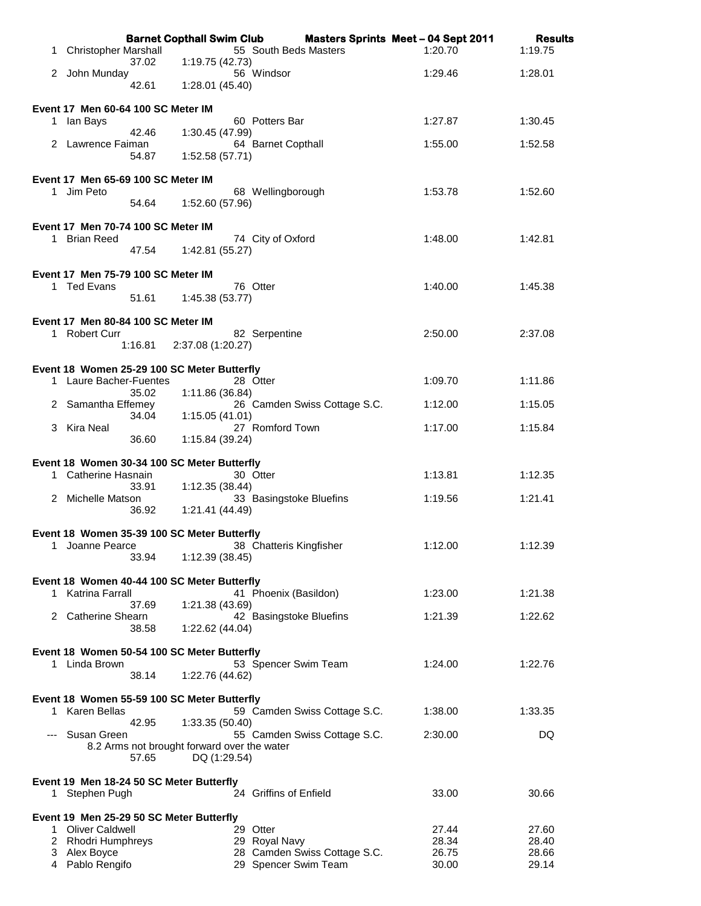|    |                                                    |         |                                             | Barnet Copthall Swim Club Masters Sprints Meet - 04 Sept 2011 |                | <b>Results</b> |
|----|----------------------------------------------------|---------|---------------------------------------------|---------------------------------------------------------------|----------------|----------------|
| 1. | <b>Christopher Marshall</b>                        | 37.02   | 1:19.75 (42.73)                             | 55 South Beds Masters                                         | 1:20.70        | 1:19.75        |
|    | 2 John Munday                                      |         |                                             | 56 Windsor                                                    | 1:29.46        | 1:28.01        |
|    |                                                    | 42.61   | 1:28.01 (45.40)                             |                                                               |                |                |
|    | Event 17 Men 60-64 100 SC Meter IM                 |         |                                             |                                                               |                |                |
|    | 1 Ian Bays                                         | 42.46   | 1:30.45 (47.99)                             | 60 Potters Bar                                                | 1:27.87        | 1:30.45        |
|    | 2 Lawrence Faiman                                  |         |                                             | 64 Barnet Copthall                                            | 1:55.00        | 1:52.58        |
|    |                                                    | 54.87   | 1:52.58 (57.71)                             |                                                               |                |                |
|    | Event 17 Men 65-69 100 SC Meter IM                 |         |                                             |                                                               |                |                |
|    | 1 Jim Peto                                         | 54.64   | 1:52.60 (57.96)                             | 68 Wellingborough                                             | 1:53.78        | 1:52.60        |
|    |                                                    |         |                                             |                                                               |                |                |
|    | Event 17 Men 70-74 100 SC Meter IM<br>1 Brian Reed |         |                                             | 74 City of Oxford                                             | 1:48.00        | 1:42.81        |
|    |                                                    |         | 47.54   1:42.81 (55.27)                     |                                                               |                |                |
|    | Event 17 Men 75-79 100 SC Meter IM                 |         |                                             |                                                               |                |                |
|    | 1 Ted Evans                                        |         |                                             | 76 Otter                                                      | 1:40.00        | 1:45.38        |
|    |                                                    | 51.61   | 1:45.38 (53.77)                             |                                                               |                |                |
|    | Event 17 Men 80-84 100 SC Meter IM                 |         |                                             |                                                               |                |                |
|    | 1 Robert Curr                                      | 1:16.81 | 2:37.08 (1:20.27)                           | 82 Serpentine                                                 | 2:50.00        | 2:37.08        |
|    |                                                    |         |                                             |                                                               |                |                |
|    | 1 Laure Bacher-Fuentes                             |         | Event 18 Women 25-29 100 SC Meter Butterfly | 28 Otter                                                      | 1:09.70        | 1:11.86        |
|    |                                                    | 35.02   | 1:11.86 (36.84)                             |                                                               |                |                |
|    | 2 Samantha Effemey                                 | 34.04   | 1:15.05(41.01)                              | 26 Camden Swiss Cottage S.C.                                  | 1:12.00        | 1:15.05        |
|    | 3 Kira Neal                                        |         |                                             | 27 Romford Town                                               | 1:17.00        | 1:15.84        |
|    |                                                    | 36.60   | 1:15.84 (39.24)                             |                                                               |                |                |
|    |                                                    |         | Event 18 Women 30-34 100 SC Meter Butterfly |                                                               |                |                |
|    | 1 Catherine Hasnain                                | 33.91   | 1:12.35 (38.44)                             | 30 Otter                                                      | 1:13.81        | 1:12.35        |
|    | 2 Michelle Matson                                  |         |                                             | 33 Basingstoke Bluefins                                       | 1:19.56        | 1:21.41        |
|    |                                                    | 36.92   | 1:21.41 (44.49)                             |                                                               |                |                |
|    |                                                    |         | Event 18 Women 35-39 100 SC Meter Butterfly |                                                               |                |                |
|    | 1 Joanne Pearce                                    | 33.94   | 1:12.39 (38.45)                             | 38 Chatteris Kingfisher                                       | 1:12.00        | 1:12.39        |
|    |                                                    |         |                                             |                                                               |                |                |
|    | 1 Katrina Farrall                                  |         | Event 18 Women 40-44 100 SC Meter Butterfly | 41 Phoenix (Basildon)                                         | 1:23.00        | 1:21.38        |
|    |                                                    | 37.69   | 1:21.38 (43.69)                             |                                                               |                |                |
|    | 2 Catherine Shearn                                 | 38.58   | 1:22.62 (44.04)                             | 42 Basingstoke Bluefins                                       | 1:21.39        | 1:22.62        |
|    |                                                    |         |                                             |                                                               |                |                |
|    | 1 Linda Brown                                      |         | Event 18 Women 50-54 100 SC Meter Butterfly | 53 Spencer Swim Team                                          | 1:24.00        | 1:22.76        |
|    |                                                    | 38.14   | 1:22.76 (44.62)                             |                                                               |                |                |
|    |                                                    |         | Event 18 Women 55-59 100 SC Meter Butterfly |                                                               |                |                |
| 1  | <b>Karen Bellas</b>                                |         |                                             | 59 Camden Swiss Cottage S.C.                                  | 1:38.00        | 1:33.35        |
|    | Susan Green                                        | 42.95   | 1:33.35 (50.40)                             | 55 Camden Swiss Cottage S.C.                                  | 2:30.00        | DQ             |
|    |                                                    |         | 8.2 Arms not brought forward over the water |                                                               |                |                |
|    |                                                    | 57.65   | DQ (1:29.54)                                |                                                               |                |                |
|    | Event 19 Men 18-24 50 SC Meter Butterfly           |         |                                             |                                                               |                |                |
| 1. | Stephen Pugh                                       |         |                                             | 24 Griffins of Enfield                                        | 33.00          | 30.66          |
|    | Event 19 Men 25-29 50 SC Meter Butterfly           |         |                                             |                                                               |                |                |
| 1  | <b>Oliver Caldwell</b><br>2 Rhodri Humphreys       |         |                                             | 29 Otter<br>29 Royal Navy                                     | 27.44<br>28.34 | 27.60<br>28.40 |
|    | 3 Alex Boyce                                       |         |                                             | 28 Camden Swiss Cottage S.C.                                  | 26.75          | 28.66          |
|    | 4 Pablo Rengifo                                    |         |                                             | 29 Spencer Swim Team                                          | 30.00          | 29.14          |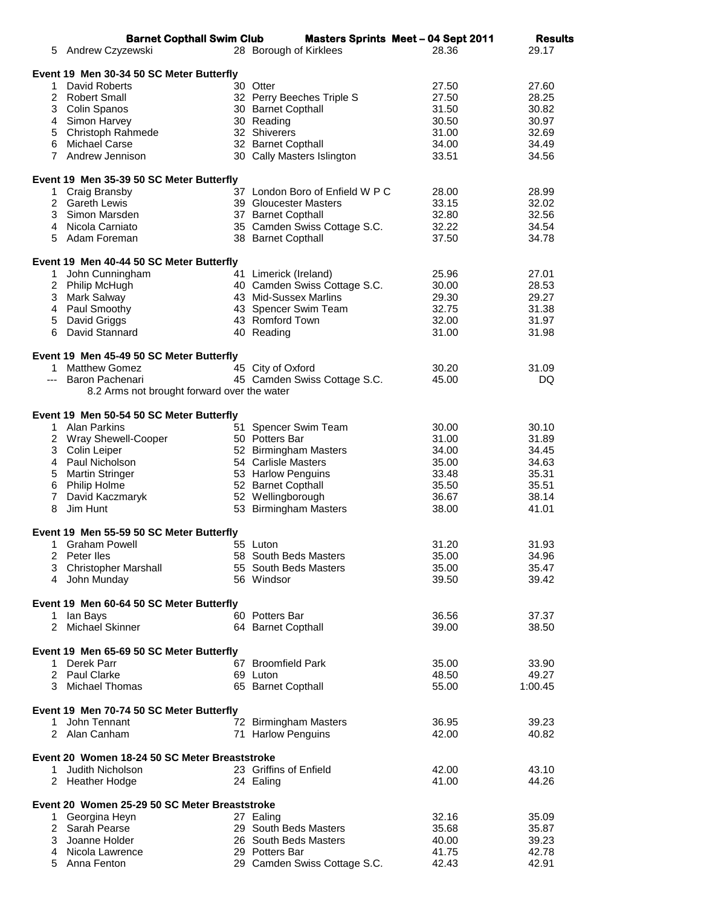|   | <b>Barnet Copthall Swim Club</b>              |                                 | <b>Masters Sprints Meet - 04 Sept 2011</b> | <b>Results</b> |
|---|-----------------------------------------------|---------------------------------|--------------------------------------------|----------------|
|   | 5 Andrew Czyzewski                            | 28 Borough of Kirklees          | 28.36                                      | 29.17          |
|   |                                               |                                 |                                            |                |
|   | Event 19 Men 30-34 50 SC Meter Butterfly      |                                 |                                            |                |
|   | 1 David Roberts                               | 30 Otter                        | 27.50                                      | 27.60          |
|   | 2 Robert Small                                | 32 Perry Beeches Triple S       | 27.50                                      | 28.25          |
|   | 3 Colin Spanos                                | 30 Barnet Copthall              | 31.50                                      | 30.82          |
|   | 4 Simon Harvey<br>5 Christoph Rahmede         | 30 Reading<br>32 Shiverers      | 30.50                                      | 30.97          |
|   | 6 Michael Carse                               | 32 Barnet Copthall              | 31.00<br>34.00                             | 32.69<br>34.49 |
|   | 7 Andrew Jennison                             | 30 Cally Masters Islington      | 33.51                                      | 34.56          |
|   |                                               |                                 |                                            |                |
|   | Event 19 Men 35-39 50 SC Meter Butterfly      |                                 |                                            |                |
|   | 1 Craig Bransby                               | 37 London Boro of Enfield W P C | 28.00                                      | 28.99          |
|   | 2 Gareth Lewis                                | 39 Gloucester Masters           | 33.15                                      | 32.02          |
|   | 3 Simon Marsden                               | 37 Barnet Copthall              | 32.80                                      | 32.56          |
|   | 4 Nicola Carniato                             | 35 Camden Swiss Cottage S.C.    | 32.22                                      | 34.54          |
|   | 5 Adam Foreman                                | 38 Barnet Copthall              | 37.50                                      | 34.78          |
|   |                                               |                                 |                                            |                |
|   | Event 19 Men 40-44 50 SC Meter Butterfly      |                                 |                                            |                |
|   | 1 John Cunningham                             | 41 Limerick (Ireland)           | 25.96                                      | 27.01          |
|   | 2 Philip McHugh                               | 40 Camden Swiss Cottage S.C.    | 30.00                                      | 28.53          |
|   | 3 Mark Salway                                 | 43 Mid-Sussex Marlins           | 29.30                                      | 29.27          |
|   | 4 Paul Smoothy                                | 43 Spencer Swim Team            | 32.75                                      | 31.38          |
|   | 5 David Griggs                                | 43 Romford Town                 | 32.00                                      | 31.97          |
|   | 6 David Stannard                              | 40 Reading                      | 31.00                                      | 31.98          |
|   |                                               |                                 |                                            |                |
|   | Event 19 Men 45-49 50 SC Meter Butterfly      |                                 |                                            |                |
|   | 1 Matthew Gomez                               | 45 City of Oxford               | 30.20                                      | 31.09          |
|   | --- Baron Pachenari                           | 45 Camden Swiss Cottage S.C.    | 45.00                                      | DQ             |
|   | 8.2 Arms not brought forward over the water   |                                 |                                            |                |
|   |                                               |                                 |                                            |                |
|   | Event 19 Men 50-54 50 SC Meter Butterfly      |                                 |                                            |                |
|   | 1 Alan Parkins                                | 51 Spencer Swim Team            | 30.00                                      | 30.10          |
|   | 2 Wray Shewell-Cooper                         | 50 Potters Bar                  | 31.00                                      | 31.89          |
|   | 3 Colin Leiper                                | 52 Birmingham Masters           | 34.00                                      | 34.45          |
|   | 4 Paul Nicholson                              | 54 Carlisle Masters             | 35.00                                      | 34.63          |
|   | 5 Martin Stringer                             | 53 Harlow Penguins              | 33.48                                      | 35.31          |
|   | 6 Philip Holme                                | 52 Barnet Copthall              | 35.50                                      | 35.51          |
|   | 7 David Kaczmaryk                             | 52 Wellingborough               | 36.67                                      | 38.14          |
| 8 | Jim Hunt                                      | 53 Birmingham Masters           | 38.00                                      | 41.01          |
|   |                                               |                                 |                                            |                |
|   | Event 19 Men 55-59 50 SC Meter Butterfly      |                                 |                                            |                |
|   | 1 Graham Powell                               | 55 Luton                        | 31.20                                      | 31.93          |
|   | 2 Peter lles                                  | 58 South Beds Masters           | 35.00                                      | 34.96          |
|   | 3 Christopher Marshall                        | 55 South Beds Masters           | 35.00                                      | 35.47          |
|   | 4 John Munday                                 | 56 Windsor                      | 39.50                                      | 39.42          |
|   |                                               |                                 |                                            |                |
|   | Event 19 Men 60-64 50 SC Meter Butterfly      |                                 |                                            |                |
|   | 1 Ian Bays                                    | 60 Potters Bar                  | 36.56                                      | 37.37          |
|   | 2 Michael Skinner                             | 64 Barnet Copthall              | 39.00                                      | 38.50          |
|   |                                               |                                 |                                            |                |
|   | Event 19 Men 65-69 50 SC Meter Butterfly      |                                 |                                            |                |
|   | 1 Derek Parr                                  | 67 Broomfield Park              | 35.00                                      | 33.90          |
|   | 2 Paul Clarke                                 | 69 Luton                        | 48.50                                      | 49.27          |
|   | 3 Michael Thomas                              | 65 Barnet Copthall              | 55.00                                      | 1:00.45        |
|   |                                               |                                 |                                            |                |
|   | Event 19 Men 70-74 50 SC Meter Butterfly      |                                 |                                            |                |
|   | 1 John Tennant                                | 72 Birmingham Masters           | 36.95                                      | 39.23          |
|   | 2 Alan Canham                                 | 71 Harlow Penguins              | 42.00                                      | 40.82          |
|   | Event 20 Women 18-24 50 SC Meter Breaststroke |                                 |                                            |                |
|   | 1 Judith Nicholson                            | 23 Griffins of Enfield          | 42.00                                      | 43.10          |
|   | 2 Heather Hodge                               | 24 Ealing                       | 41.00                                      | 44.26          |
|   |                                               |                                 |                                            |                |
|   | Event 20 Women 25-29 50 SC Meter Breaststroke |                                 |                                            |                |
|   | 1 Georgina Heyn                               | 27 Ealing                       | 32.16                                      | 35.09          |
|   | 2 Sarah Pearse                                | 29 South Beds Masters           | 35.68                                      | 35.87          |
|   | 3 Joanne Holder                               | 26 South Beds Masters           | 40.00                                      | 39.23          |
|   | 4 Nicola Lawrence                             | 29 Potters Bar                  | 41.75                                      | 42.78          |
|   | 5 Anna Fenton                                 | 29 Camden Swiss Cottage S.C.    | 42.43                                      | 42.91          |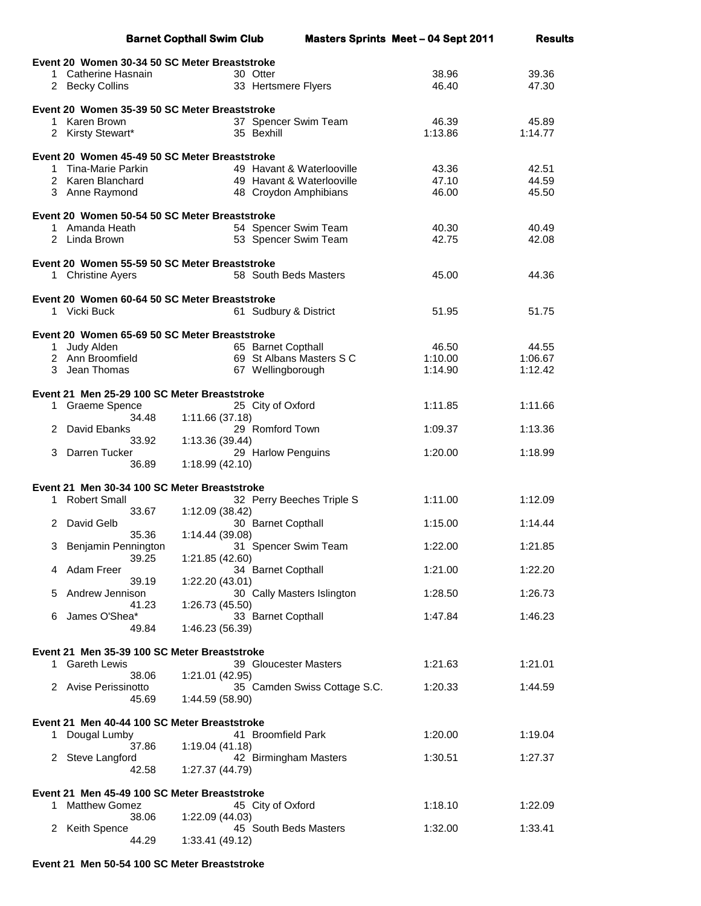|           |                                                                      | <b>Barnet Copthall Swim Club</b>              |                              | <b>Masters Sprints Meet - 04 Sept 2011</b> | <b>Results</b> |
|-----------|----------------------------------------------------------------------|-----------------------------------------------|------------------------------|--------------------------------------------|----------------|
|           | Event 20 Women 30-34 50 SC Meter Breaststroke                        |                                               |                              |                                            |                |
|           | 1 Catherine Hasnain                                                  | 30 Otter                                      |                              | 38.96                                      | 39.36          |
|           | 2 Becky Collins                                                      | 33 Hertsmere Flyers                           |                              | 46.40                                      | 47.30          |
|           | Event 20 Women 35-39 50 SC Meter Breaststroke                        |                                               |                              |                                            |                |
| $1 \quad$ | Karen Brown                                                          | 37 Spencer Swim Team                          |                              | 46.39                                      | 45.89          |
|           | 2 Kirsty Stewart*                                                    | 35 Bexhill                                    |                              | 1:13.86                                    | 1:14.77        |
|           | Event 20 Women 45-49 50 SC Meter Breaststroke                        |                                               |                              |                                            |                |
|           | 1 Tina-Marie Parkin                                                  | 49 Havant & Waterlooville                     |                              | 43.36                                      | 42.51          |
|           | 2 Karen Blanchard                                                    | 49 Havant & Waterlooville                     |                              | 47.10                                      | 44.59          |
|           | 3 Anne Raymond                                                       | 48 Croydon Amphibians                         |                              | 46.00                                      | 45.50          |
|           | Event 20 Women 50-54 50 SC Meter Breaststroke                        |                                               |                              |                                            |                |
|           | 1 Amanda Heath                                                       | 54 Spencer Swim Team                          |                              | 40.30                                      | 40.49          |
|           | 2 Linda Brown                                                        | 53 Spencer Swim Team                          |                              | 42.75                                      | 42.08          |
|           | Event 20 Women 55-59 50 SC Meter Breaststroke                        |                                               |                              |                                            |                |
|           | 1 Christine Ayers                                                    | 58 South Beds Masters                         |                              | 45.00                                      | 44.36          |
|           | Event 20 Women 60-64 50 SC Meter Breaststroke                        |                                               |                              |                                            |                |
|           | 1 Vicki Buck                                                         | 61 Sudbury & District                         |                              | 51.95                                      | 51.75          |
|           | Event 20 Women 65-69 50 SC Meter Breaststroke                        |                                               |                              |                                            |                |
|           | 1 Judy Alden                                                         | 65 Barnet Copthall                            |                              | 46.50                                      | 44.55          |
|           | 2 Ann Broomfield                                                     | 69 St Albans Masters S C                      |                              | 1:10.00                                    | 1:06.67        |
|           | 3 Jean Thomas                                                        | 67 Wellingborough                             |                              | 1:14.90                                    | 1:12.42        |
|           | Event 21 Men 25-29 100 SC Meter Breaststroke                         |                                               |                              |                                            |                |
|           | 1 Graeme Spence                                                      | 25 City of Oxford                             |                              | 1:11.85                                    | 1:11.66        |
| 2         | 34.48<br>David Ebanks                                                | 1:11.66 (37.18)<br>29 Romford Town            |                              | 1:09.37                                    | 1:13.36        |
|           | 33.92                                                                | 1:13.36 (39.44)                               |                              |                                            |                |
| 3.        | Darren Tucker                                                        | 29 Harlow Penguins                            |                              | 1:20.00                                    | 1:18.99        |
|           | 36.89                                                                | 1:18.99 (42.10)                               |                              |                                            |                |
|           | Event 21 Men 30-34 100 SC Meter Breaststroke                         |                                               |                              |                                            |                |
|           | 1 Robert Small<br>33.67                                              | 32 Perry Beeches Triple S<br>1:12.09 (38.42)  |                              | 1:11.00                                    | 1:12.09        |
| 2         | David Gelb                                                           | 30 Barnet Copthall                            |                              | 1:15.00                                    | 1:14.44        |
|           | 35.36                                                                | 1:14.44 (39.08)                               |                              |                                            |                |
|           | 3 Benjamin Pennington<br>39.25                                       | 31 Spencer Swim Team<br>1:21.85 (42.60)       |                              | 1:22.00                                    | 1:21.85        |
|           | Adam Freer                                                           | 34 Barnet Copthall                            |                              | 1:21.00                                    | 1:22.20        |
|           | 39.19                                                                | 1:22.20 (43.01)                               |                              |                                            |                |
| 5.        | Andrew Jennison<br>41.23                                             | 30 Cally Masters Islington<br>1:26.73 (45.50) |                              | 1:28.50                                    | 1:26.73        |
| 6         | James O'Shea*                                                        | 33 Barnet Copthall                            |                              | 1:47.84                                    | 1:46.23        |
|           | 49.84                                                                | 1:46.23 (56.39)                               |                              |                                            |                |
|           | Event 21 Men 35-39 100 SC Meter Breaststroke                         |                                               |                              |                                            |                |
|           | 1 Gareth Lewis                                                       | 39 Gloucester Masters                         |                              | 1:21.63                                    | 1:21.01        |
|           | 38.06<br>2 Avise Perissinotto                                        | 1:21.01 (42.95)                               | 35 Camden Swiss Cottage S.C. | 1:20.33                                    | 1:44.59        |
|           | 45.69                                                                | 1:44.59 (58.90)                               |                              |                                            |                |
|           | Event 21 Men 40-44 100 SC Meter Breaststroke                         |                                               |                              |                                            |                |
| 1.        | Dougal Lumby                                                         | 41 Broomfield Park                            |                              | 1:20.00                                    | 1:19.04        |
| 2         | 37.86                                                                | 1:19.04(41.18)                                |                              | 1:30.51                                    | 1:27.37        |
|           | Steve Langford<br>42.58                                              | 42 Birmingham Masters<br>1:27.37 (44.79)      |                              |                                            |                |
|           |                                                                      |                                               |                              |                                            |                |
| 1         | Event 21 Men 45-49 100 SC Meter Breaststroke<br><b>Matthew Gomez</b> | 45 City of Oxford                             |                              | 1:18.10                                    | 1:22.09        |
|           | 38.06                                                                | 1:22.09 (44.03)                               |                              |                                            |                |
| 2         | <b>Keith Spence</b>                                                  | 45 South Beds Masters                         |                              | 1:32.00                                    | 1:33.41        |
|           | 44.29                                                                | 1:33.41 (49.12)                               |                              |                                            |                |

## **Event 21 Men 50-54 100 SC Meter Breaststroke**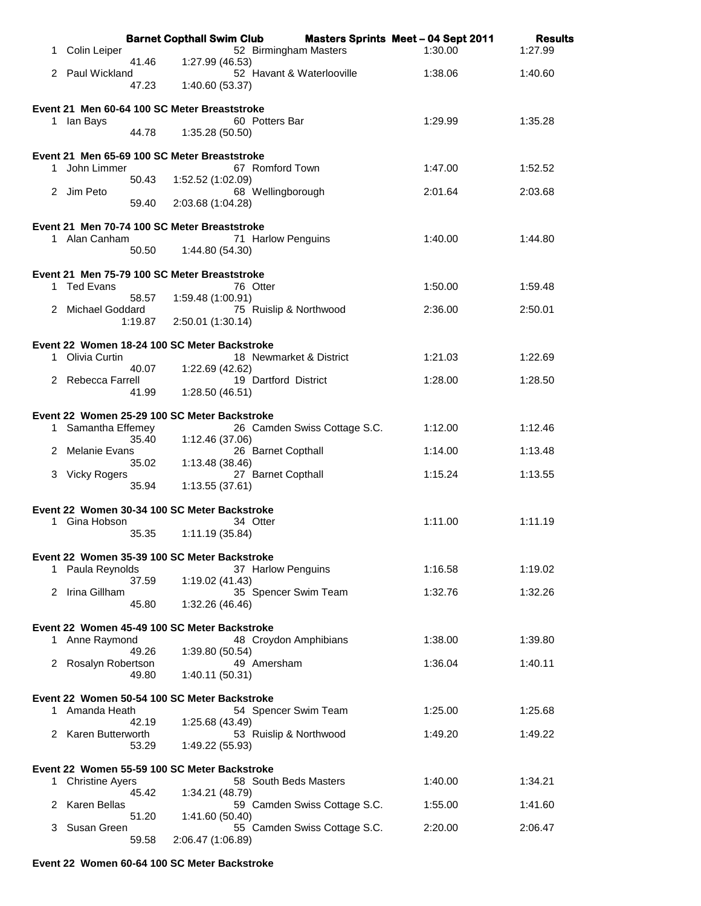|    |                                              |         | <b>Barnet Copthall Swim Club</b>                                      |                              | <b>Masters Sprints Meet - 04 Sept 2011</b> | <b>Results</b> |  |  |  |
|----|----------------------------------------------|---------|-----------------------------------------------------------------------|------------------------------|--------------------------------------------|----------------|--|--|--|
| 1  | Colin Leiper                                 | 41.46   | 52 Birmingham Masters<br>1:27.99 (46.53)                              |                              | 1:30.00                                    | 1:27.99        |  |  |  |
|    | 2 Paul Wickland                              |         |                                                                       | 52 Havant & Waterlooville    | 1:38.06                                    | 1:40.60        |  |  |  |
|    |                                              | 47.23   | 1:40.60 (53.37)                                                       |                              |                                            |                |  |  |  |
|    | Event 21 Men 60-64 100 SC Meter Breaststroke |         |                                                                       |                              |                                            |                |  |  |  |
|    | 1 Ian Bays                                   | 44.78   | 60 Potters Bar                                                        |                              | 1:29.99                                    | 1:35.28        |  |  |  |
|    |                                              |         | 1:35.28(50.50)                                                        |                              |                                            |                |  |  |  |
|    |                                              |         | Event 21 Men 65-69 100 SC Meter Breaststroke                          |                              |                                            |                |  |  |  |
|    | 1 John Limmer                                | 50.43   | 67 Romford Town<br>1:52.52 (1:02.09)                                  |                              | 1:47.00                                    | 1:52.52        |  |  |  |
|    | 2 Jim Peto                                   |         | 68 Wellingborough                                                     |                              | 2:01.64                                    | 2:03.68        |  |  |  |
|    |                                              | 59.40   | 2:03.68 (1:04.28)                                                     |                              |                                            |                |  |  |  |
|    |                                              |         | Event 21 Men 70-74 100 SC Meter Breaststroke                          |                              |                                            |                |  |  |  |
|    | 1 Alan Canham                                | 50.50   | 71 Harlow Penguins<br>1:44.80 (54.30)                                 |                              | 1:40.00                                    | 1:44.80        |  |  |  |
|    |                                              |         |                                                                       |                              |                                            |                |  |  |  |
|    | 1 Ted Evans                                  |         | Event 21 Men 75-79 100 SC Meter Breaststroke<br>76 Otter              |                              | 1:50.00                                    | 1:59.48        |  |  |  |
|    |                                              | 58.57   | 1:59.48 (1:00.91)                                                     |                              |                                            |                |  |  |  |
|    | 2 Michael Goddard                            | 1:19.87 | 75 Ruislip & Northwood<br>2:50.01 (1:30.14)                           |                              | 2:36.00                                    | 2:50.01        |  |  |  |
|    |                                              |         |                                                                       |                              |                                            |                |  |  |  |
|    | 1 Olivia Curtin                              |         | Event 22 Women 18-24 100 SC Meter Backstroke                          | 18 Newmarket & District      | 1:21.03                                    | 1:22.69        |  |  |  |
|    |                                              | 40.07   | 1:22.69 (42.62)                                                       |                              |                                            |                |  |  |  |
|    | 2 Rebecca Farrell                            | 41.99   | 19 Dartford District<br>1:28.50 (46.51)                               |                              | 1:28.00                                    | 1:28.50        |  |  |  |
|    |                                              |         |                                                                       |                              |                                            |                |  |  |  |
|    | 1 Samantha Effemey                           |         | Event 22 Women 25-29 100 SC Meter Backstroke                          | 26 Camden Swiss Cottage S.C. | 1:12.00                                    | 1:12.46        |  |  |  |
|    |                                              | 35.40   | 1:12.46 (37.06)                                                       |                              |                                            |                |  |  |  |
|    | 2 Melanie Evans                              | 35.02   | 26 Barnet Copthall<br>1:13.48 (38.46)                                 |                              | 1:14.00                                    | 1:13.48        |  |  |  |
|    | 3 Vicky Rogers                               |         | 27 Barnet Copthall                                                    |                              | 1:15.24                                    | 1:13.55        |  |  |  |
|    |                                              | 35.94   | 1:13.55(37.61)                                                        |                              |                                            |                |  |  |  |
|    |                                              |         | Event 22 Women 30-34 100 SC Meter Backstroke                          |                              |                                            |                |  |  |  |
|    | 1 Gina Hobson                                | 35.35   | 34 Otter<br>1:11.19 (35.84)                                           |                              | 1:11.00                                    | 1:11.19        |  |  |  |
|    |                                              |         |                                                                       |                              |                                            |                |  |  |  |
|    | 1 Paula Reynolds                             |         | Event 22 Women 35-39 100 SC Meter Backstroke<br>37 Harlow Penguins    |                              | 1:16.58                                    | 1:19.02        |  |  |  |
|    |                                              | 37.59   | 1:19.02 (41.43)                                                       |                              |                                            |                |  |  |  |
|    | 2 Irina Gillham                              | 45.80   | 35 Spencer Swim Team<br>1:32.26 (46.46)                               |                              | 1:32.76                                    | 1:32.26        |  |  |  |
|    |                                              |         |                                                                       |                              |                                            |                |  |  |  |
|    | 1 Anne Raymond                               |         | Event 22 Women 45-49 100 SC Meter Backstroke<br>48 Croydon Amphibians |                              | 1:38.00                                    | 1:39.80        |  |  |  |
|    |                                              | 49.26   | 1:39.80 (50.54)                                                       |                              |                                            |                |  |  |  |
|    | 2 Rosalyn Robertson                          | 49.80   | 49 Amersham<br>1:40.11 (50.31)                                        |                              | 1:36.04                                    | 1:40.11        |  |  |  |
|    |                                              |         |                                                                       |                              |                                            |                |  |  |  |
| 1. | Amanda Heath                                 |         | Event 22 Women 50-54 100 SC Meter Backstroke<br>54 Spencer Swim Team  |                              | 1:25.00                                    | 1:25.68        |  |  |  |
|    |                                              | 42.19   | 1:25.68 (43.49)                                                       |                              |                                            |                |  |  |  |
|    | 2 Karen Butterworth                          | 53.29   | 53 Ruislip & Northwood<br>1:49.22 (55.93)                             |                              | 1:49.20                                    | 1:49.22        |  |  |  |
|    |                                              |         |                                                                       |                              |                                            |                |  |  |  |
| 1. | <b>Christine Ayers</b>                       |         | Event 22 Women 55-59 100 SC Meter Backstroke<br>58 South Beds Masters |                              | 1:40.00                                    | 1:34.21        |  |  |  |
|    |                                              | 45.42   | 1:34.21 (48.79)                                                       |                              |                                            |                |  |  |  |
| 2  | Karen Bellas                                 | 51.20   | 1:41.60 (50.40)                                                       | 59 Camden Swiss Cottage S.C. | 1:55.00                                    | 1:41.60        |  |  |  |
| 3  | Susan Green                                  |         |                                                                       | 55 Camden Swiss Cottage S.C. | 2:20.00                                    | 2:06.47        |  |  |  |
|    |                                              | 59.58   | 2:06.47 (1:06.89)                                                     |                              |                                            |                |  |  |  |

## **Event 22 Women 60-64 100 SC Meter Backstroke**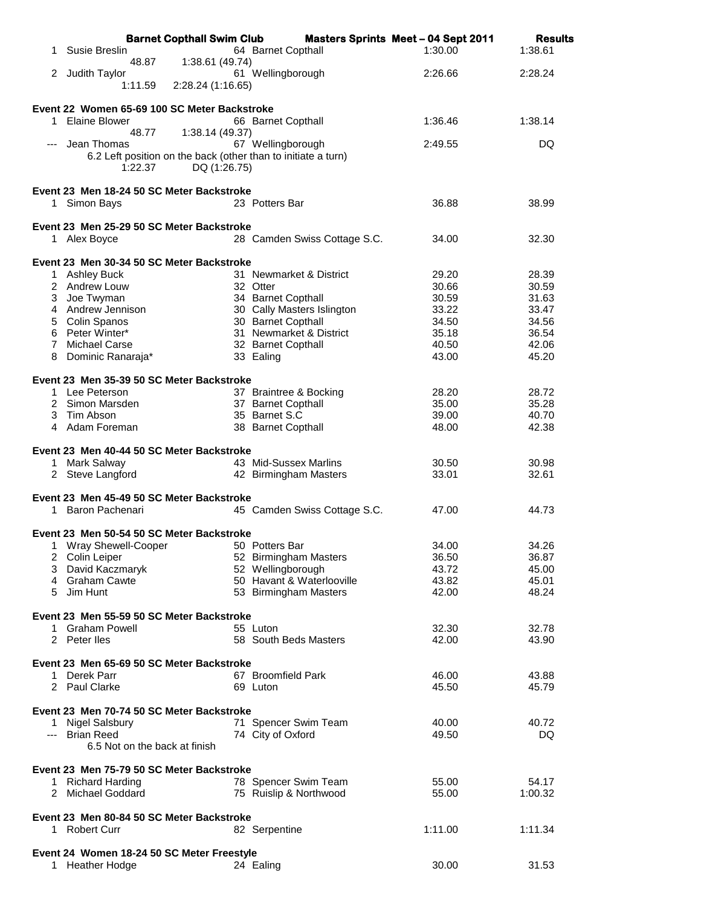|    | <b>Barnet Copthall Swim Club</b>                              |                              | <b>Masters Sprints Meet - 04 Sept 2011</b> | <b>Results</b> |
|----|---------------------------------------------------------------|------------------------------|--------------------------------------------|----------------|
| 1. | Susie Breslin                                                 | 64 Barnet Copthall           | 1:30.00                                    | 1:38.61        |
|    | 48.87<br>1:38.61 (49.74)                                      |                              |                                            |                |
|    | 2 Judith Taylor                                               | 61 Wellingborough            | 2:26.66                                    | 2:28.24        |
|    | 1:11.59<br>2:28.24 (1:16.65)                                  |                              |                                            |                |
|    |                                                               |                              |                                            |                |
|    | Event 22 Women 65-69 100 SC Meter Backstroke                  |                              |                                            |                |
| 1  | <b>Elaine Blower</b>                                          | 66 Barnet Copthall           | 1:36.46                                    | 1:38.14        |
|    | 48.77<br>1:38.14 (49.37)<br>Jean Thomas                       | 67 Wellingborough            | 2:49.55                                    | DQ             |
|    | 6.2 Left position on the back (other than to initiate a turn) |                              |                                            |                |
|    | 1:22.37<br>DQ (1:26.75)                                       |                              |                                            |                |
|    |                                                               |                              |                                            |                |
|    | Event 23 Men 18-24 50 SC Meter Backstroke                     |                              |                                            |                |
|    | 1 Simon Bays                                                  | 23 Potters Bar               | 36.88                                      | 38.99          |
|    |                                                               |                              |                                            |                |
|    | Event 23 Men 25-29 50 SC Meter Backstroke                     |                              |                                            |                |
|    | 1 Alex Boyce                                                  | 28 Camden Swiss Cottage S.C. | 34.00                                      | 32.30          |
|    |                                                               |                              |                                            |                |
|    | Event 23 Men 30-34 50 SC Meter Backstroke                     |                              |                                            |                |
|    | 1 Ashley Buck                                                 | 31 Newmarket & District      | 29.20                                      | 28.39          |
|    | 2 Andrew Louw                                                 | 32 Otter                     | 30.66                                      | 30.59          |
|    | 3 Joe Twyman                                                  | 34 Barnet Copthall           | 30.59                                      | 31.63          |
|    | 4 Andrew Jennison                                             | 30 Cally Masters Islington   | 33.22                                      | 33.47          |
| 5  | Colin Spanos                                                  | 30 Barnet Copthall           | 34.50                                      | 34.56          |
|    | 6 Peter Winter*                                               | 31 Newmarket & District      | 35.18                                      | 36.54          |
|    | 7 Michael Carse                                               | 32 Barnet Copthall           | 40.50                                      | 42.06          |
|    | 8 Dominic Ranaraja*                                           | 33 Ealing                    | 43.00                                      | 45.20          |
|    |                                                               |                              |                                            |                |
|    | Event 23 Men 35-39 50 SC Meter Backstroke                     |                              |                                            |                |
|    | 1 Lee Peterson                                                | 37 Braintree & Bocking       | 28.20                                      | 28.72          |
|    | 2 Simon Marsden                                               | 37 Barnet Copthall           | 35.00                                      | 35.28          |
| 3  | Tim Abson                                                     | 35 Barnet S.C                | 39.00                                      | 40.70          |
|    | 4 Adam Foreman                                                | 38 Barnet Copthall           | 48.00                                      | 42.38          |
|    | Event 23 Men 40-44 50 SC Meter Backstroke                     |                              |                                            |                |
|    | 1 Mark Salway                                                 | 43 Mid-Sussex Marlins        | 30.50                                      | 30.98          |
|    | 2 Steve Langford                                              | 42 Birmingham Masters        | 33.01                                      | 32.61          |
|    |                                                               |                              |                                            |                |
|    | Event 23 Men 45-49 50 SC Meter Backstroke                     |                              |                                            |                |
|    | 1 Baron Pachenari                                             | 45 Camden Swiss Cottage S.C. | 47.00                                      | 44.73          |
|    |                                                               |                              |                                            |                |
|    | Event 23 Men 50-54 50 SC Meter Backstroke                     |                              |                                            |                |
|    | 1 Wray Shewell-Cooper 50 Potters Bar                          |                              | 34.00                                      | 34.26          |
|    | 2 Colin Leiper                                                | 52 Birmingham Masters        | 36.50                                      | 36.87          |
|    | 3 David Kaczmaryk                                             | 52 Wellingborough            | 43.72                                      | 45.00          |
|    | 4 Graham Cawte                                                | 50 Havant & Waterlooville    | 43.82                                      | 45.01          |
| 5. | Jim Hunt                                                      | 53 Birmingham Masters        | 42.00                                      | 48.24          |
|    |                                                               |                              |                                            |                |
|    | Event 23 Men 55-59 50 SC Meter Backstroke                     |                              |                                            |                |
|    | 1 Graham Powell                                               | 55 Luton                     | 32.30                                      | 32.78          |
|    | 2 Peter lles                                                  | 58 South Beds Masters        | 42.00                                      | 43.90          |
|    | Event 23 Men 65-69 50 SC Meter Backstroke                     |                              |                                            |                |
|    |                                                               | 67 Broomfield Park           |                                            |                |
|    | 1 Derek Parr<br>2 Paul Clarke                                 |                              | 46.00                                      | 43.88          |
|    |                                                               | 69 Luton                     | 45.50                                      | 45.79          |
|    | Event 23 Men 70-74 50 SC Meter Backstroke                     |                              |                                            |                |
|    | 1 Nigel Salsbury                                              | 71 Spencer Swim Team         | 40.00                                      | 40.72          |
|    | --- Brian Reed                                                | 74 City of Oxford            | 49.50                                      | DQ             |
|    | 6.5 Not on the back at finish                                 |                              |                                            |                |
|    |                                                               |                              |                                            |                |
|    | Event 23 Men 75-79 50 SC Meter Backstroke                     |                              |                                            |                |
|    | 1 Richard Harding                                             | 78 Spencer Swim Team         | 55.00                                      | 54.17          |
|    | 2 Michael Goddard                                             | 75 Ruislip & Northwood       | 55.00                                      | 1:00.32        |
|    |                                                               |                              |                                            |                |
|    | Event 23 Men 80-84 50 SC Meter Backstroke                     |                              |                                            |                |
|    | 1 Robert Curr                                                 | 82 Serpentine                | 1:11.00                                    | 1:11.34        |
|    |                                                               |                              |                                            |                |
|    | Event 24 Women 18-24 50 SC Meter Freestyle                    |                              |                                            |                |
|    | 1 Heather Hodge                                               | 24 Ealing                    | 30.00                                      | 31.53          |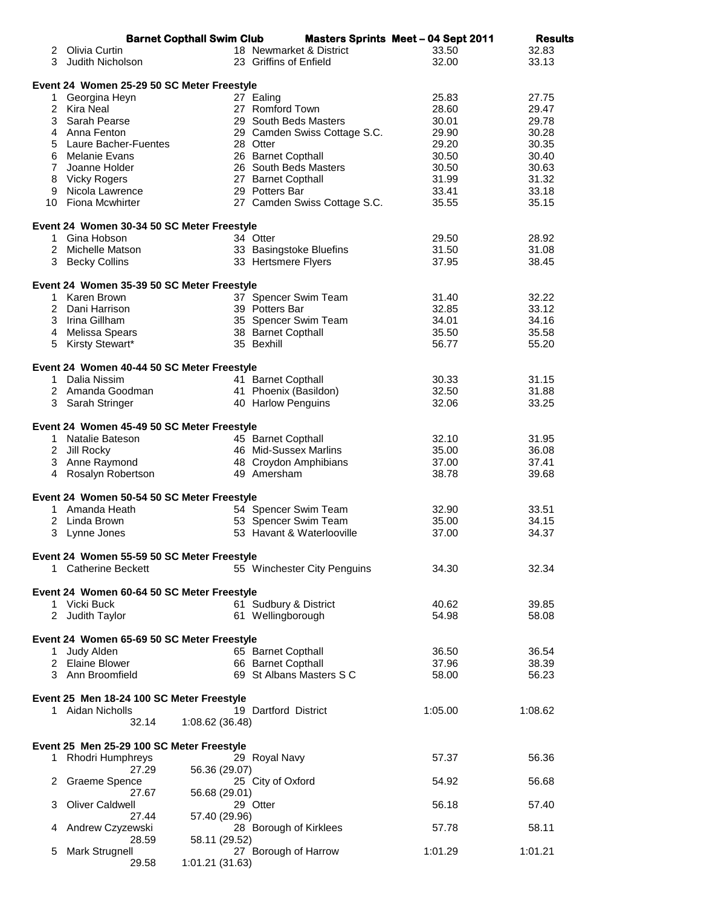|                                            | <b>Barnet Copthall Swim Club</b>           |  |                                  | <b>Masters Sprints Meet - 04 Sept 2011</b> | <b>Results</b> |  |  |  |
|--------------------------------------------|--------------------------------------------|--|----------------------------------|--------------------------------------------|----------------|--|--|--|
|                                            | 2 Olivia Curtin                            |  | 18 Newmarket & District          | 33.50                                      | 32.83          |  |  |  |
| 3 <sup>1</sup>                             | Judith Nicholson                           |  | 23 Griffins of Enfield           | 32.00                                      | 33.13          |  |  |  |
|                                            |                                            |  |                                  |                                            |                |  |  |  |
| Event 24 Women 25-29 50 SC Meter Freestyle |                                            |  |                                  |                                            |                |  |  |  |
|                                            | 1 Georgina Heyn                            |  | 27 Ealing                        | 25.83                                      | 27.75          |  |  |  |
|                                            | 2 Kira Neal                                |  | 27 Romford Town                  | 28.60                                      | 29.47          |  |  |  |
|                                            | 3 Sarah Pearse                             |  | 29 South Beds Masters            | 30.01                                      | 29.78          |  |  |  |
|                                            | 4 Anna Fenton                              |  | 29 Camden Swiss Cottage S.C.     | 29.90                                      | 30.28          |  |  |  |
| 5                                          | Laure Bacher-Fuentes                       |  | 28 Otter                         | 29.20                                      | 30.35          |  |  |  |
|                                            | 6 Melanie Evans                            |  | 26 Barnet Copthall               | 30.50                                      | 30.40          |  |  |  |
|                                            | 7 Joanne Holder                            |  | 26 South Beds Masters            | 30.50                                      | 30.63          |  |  |  |
| 8                                          | Vicky Rogers                               |  | 27 Barnet Copthall               | 31.99                                      | 31.32          |  |  |  |
|                                            | 9 Nicola Lawrence                          |  | 29 Potters Bar                   | 33.41                                      | 33.18          |  |  |  |
|                                            | 10 Fiona Mcwhirter                         |  | 27 Camden Swiss Cottage S.C.     | 35.55                                      | 35.15          |  |  |  |
|                                            |                                            |  |                                  |                                            |                |  |  |  |
|                                            | Event 24 Women 30-34 50 SC Meter Freestyle |  |                                  |                                            |                |  |  |  |
|                                            | 1 Gina Hobson                              |  | 34 Otter                         | 29.50                                      | 28.92          |  |  |  |
|                                            | 2 Michelle Matson                          |  | 33 Basingstoke Bluefins          | 31.50                                      | 31.08          |  |  |  |
|                                            | 3 Becky Collins                            |  | 33 Hertsmere Flyers              | 37.95                                      | 38.45          |  |  |  |
|                                            |                                            |  |                                  |                                            |                |  |  |  |
|                                            | Event 24 Women 35-39 50 SC Meter Freestyle |  |                                  |                                            |                |  |  |  |
|                                            | 1 Karen Brown                              |  | 37 Spencer Swim Team             | 31.40                                      | 32.22          |  |  |  |
|                                            | 2 Dani Harrison                            |  | 39 Potters Bar                   | 32.85                                      | 33.12          |  |  |  |
|                                            | 3 Irina Gillham                            |  | 35 Spencer Swim Team             | 34.01                                      | 34.16          |  |  |  |
|                                            |                                            |  |                                  | 35.50                                      | 35.58          |  |  |  |
|                                            | 4 Melissa Spears                           |  | 38 Barnet Copthall<br>35 Bexhill |                                            |                |  |  |  |
|                                            | 5 Kirsty Stewart*                          |  |                                  | 56.77                                      | 55.20          |  |  |  |
|                                            |                                            |  |                                  |                                            |                |  |  |  |
|                                            | Event 24 Women 40-44 50 SC Meter Freestyle |  |                                  |                                            |                |  |  |  |
|                                            | 1 Dalia Nissim                             |  | 41 Barnet Copthall               | 30.33                                      | 31.15          |  |  |  |
|                                            | 2 Amanda Goodman                           |  | 41 Phoenix (Basildon)            | 32.50                                      | 31.88          |  |  |  |
|                                            | 3 Sarah Stringer                           |  | 40 Harlow Penguins               | 32.06                                      | 33.25          |  |  |  |
|                                            |                                            |  |                                  |                                            |                |  |  |  |
|                                            | Event 24 Women 45-49 50 SC Meter Freestyle |  |                                  |                                            |                |  |  |  |
|                                            | 1 Natalie Bateson                          |  | 45 Barnet Copthall               | 32.10                                      | 31.95          |  |  |  |
|                                            | 2 Jill Rocky                               |  | 46 Mid-Sussex Marlins            | 35.00                                      | 36.08          |  |  |  |
|                                            | 3 Anne Raymond                             |  | 48 Croydon Amphibians            | 37.00                                      | 37.41          |  |  |  |
|                                            | 4 Rosalyn Robertson                        |  | 49 Amersham                      | 38.78                                      | 39.68          |  |  |  |
|                                            |                                            |  |                                  |                                            |                |  |  |  |
|                                            | Event 24 Women 50-54 50 SC Meter Freestyle |  |                                  |                                            |                |  |  |  |
|                                            | 1 Amanda Heath                             |  | 54 Spencer Swim Team             | 32.90                                      | 33.51          |  |  |  |
|                                            | 2 Linda Brown                              |  | 53 Spencer Swim Team             | 35.00                                      | 34.15          |  |  |  |
|                                            | 3 Lynne Jones                              |  | 53 Havant & Waterlooville        | 37.00                                      | 34.37          |  |  |  |
|                                            |                                            |  |                                  |                                            |                |  |  |  |
|                                            | Event 24 Women 55-59 50 SC Meter Freestyle |  |                                  |                                            |                |  |  |  |
|                                            | 1 Catherine Beckett                        |  | 55 Winchester City Penguins      | 34.30                                      | 32.34          |  |  |  |
|                                            |                                            |  |                                  |                                            |                |  |  |  |
|                                            | Event 24 Women 60-64 50 SC Meter Freestyle |  |                                  |                                            |                |  |  |  |
|                                            | 1 Vicki Buck                               |  | 61 Sudbury & District            | 40.62                                      | 39.85          |  |  |  |
|                                            | 2 Judith Taylor                            |  | 61 Wellingborough                | 54.98                                      | 58.08          |  |  |  |
|                                            |                                            |  |                                  |                                            |                |  |  |  |
|                                            | Event 24 Women 65-69 50 SC Meter Freestyle |  |                                  |                                            |                |  |  |  |
|                                            | 1 Judy Alden                               |  | 65 Barnet Copthall               | 36.50                                      | 36.54          |  |  |  |
|                                            | 2 Elaine Blower                            |  | 66 Barnet Copthall               | 37.96                                      | 38.39          |  |  |  |
|                                            | 3 Ann Broomfield                           |  | 69 St Albans Masters S C         | 58.00                                      | 56.23          |  |  |  |
|                                            |                                            |  |                                  |                                            |                |  |  |  |
|                                            | Event 25 Men 18-24 100 SC Meter Freestyle  |  |                                  |                                            |                |  |  |  |
|                                            | 1 Aidan Nicholls                           |  | 19 Dartford District             | 1:05.00                                    | 1:08.62        |  |  |  |
|                                            | 32.14<br>1:08.62 (36.48)                   |  |                                  |                                            |                |  |  |  |
|                                            |                                            |  |                                  |                                            |                |  |  |  |
|                                            | Event 25 Men 25-29 100 SC Meter Freestyle  |  |                                  |                                            |                |  |  |  |
|                                            | 1 Rhodri Humphreys                         |  | 29 Royal Navy                    | 57.37                                      | 56.36          |  |  |  |
|                                            | 56.36 (29.07)<br>27.29                     |  |                                  |                                            |                |  |  |  |
| 2                                          | Graeme Spence                              |  | 25 City of Oxford                | 54.92                                      | 56.68          |  |  |  |
|                                            | 27.67<br>56.68 (29.01)                     |  |                                  |                                            |                |  |  |  |
| З                                          | Oliver Caldwell                            |  | 29 Otter                         | 56.18                                      | 57.40          |  |  |  |
|                                            | 27.44                                      |  |                                  |                                            |                |  |  |  |
|                                            | 57.40 (29.96)                              |  |                                  |                                            |                |  |  |  |
| 4                                          | Andrew Czyzewski                           |  | 28 Borough of Kirklees           | 57.78                                      | 58.11          |  |  |  |
|                                            | 28.59<br>58.11 (29.52)                     |  |                                  |                                            |                |  |  |  |
| 5                                          | Mark Strugnell                             |  | 27 Borough of Harrow             | 1:01.29                                    | 1:01.21        |  |  |  |
|                                            | 29.58<br>1:01.21 (31.63)                   |  |                                  |                                            |                |  |  |  |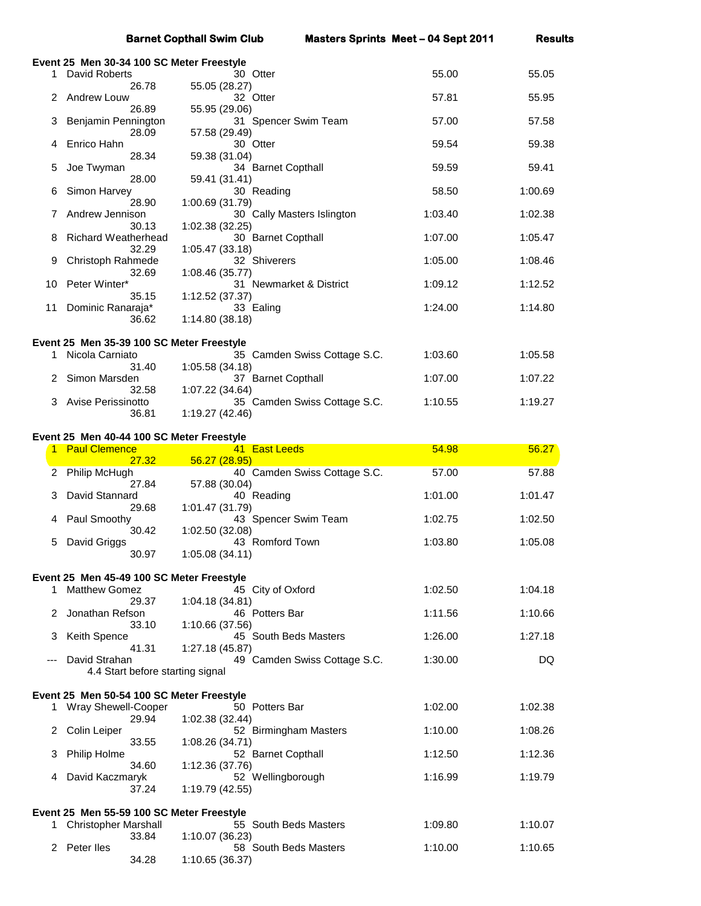|                                           |                                                                     | <b>Barnet Copthall Swim Club</b>                           |                              | <b>Masters Sprints Meet - 04 Sept 2011</b> | <b>Results</b> |  |  |  |
|-------------------------------------------|---------------------------------------------------------------------|------------------------------------------------------------|------------------------------|--------------------------------------------|----------------|--|--|--|
| Event 25 Men 30-34 100 SC Meter Freestyle |                                                                     |                                                            |                              |                                            |                |  |  |  |
|                                           | 1 David Roberts<br>26.78                                            | 30 Otter<br>55.05 (28.27)                                  |                              | 55.00                                      | 55.05          |  |  |  |
| 2                                         | Andrew Louw                                                         | 32 Otter                                                   |                              | 57.81                                      | 55.95          |  |  |  |
| З                                         | 26.89<br>Benjamin Pennington                                        | 55.95 (29.06)<br>31 Spencer Swim Team                      |                              | 57.00                                      | 57.58          |  |  |  |
| 4                                         | 28.09<br>Enrico Hahn                                                | 57.58 (29.49)<br>30 Otter                                  |                              | 59.54                                      | 59.38          |  |  |  |
|                                           | 28.34                                                               | 59.38 (31.04)                                              |                              |                                            |                |  |  |  |
| 5                                         | Joe Twyman<br>28.00                                                 | 34 Barnet Copthall<br>59.41 (31.41)                        |                              | 59.59                                      | 59.41          |  |  |  |
| 6                                         | Simon Harvey<br>28.90                                               | 30 Reading<br>1:00.69 (31.79)                              |                              | 58.50                                      | 1:00.69        |  |  |  |
| 7                                         | Andrew Jennison                                                     |                                                            | 30 Cally Masters Islington   | 1:03.40                                    | 1:02.38        |  |  |  |
| 8                                         | 30.13<br>Richard Weatherhead                                        | 1:02.38 (32.25)<br>30 Barnet Copthall                      |                              | 1:07.00                                    | 1:05.47        |  |  |  |
| 9                                         | 32.29<br>Christoph Rahmede                                          | 1:05.47 (33.18)<br>32 Shiverers                            |                              | 1:05.00                                    | 1:08.46        |  |  |  |
| 10                                        | 32.69<br>Peter Winter*                                              | 1:08.46 (35.77)<br>31 Newmarket & District                 |                              | 1:09.12                                    | 1:12.52        |  |  |  |
|                                           | 35.15                                                               | 1:12.52 (37.37)                                            |                              |                                            |                |  |  |  |
| 11                                        | Dominic Ranaraja*<br>36.62                                          | 33 Ealing<br>1:14.80(38.18)                                |                              | 1:24.00                                    | 1:14.80        |  |  |  |
|                                           |                                                                     |                                                            |                              |                                            |                |  |  |  |
| 1                                         | Event 25 Men 35-39 100 SC Meter Freestyle<br>Nicola Carniato        |                                                            | 35 Camden Swiss Cottage S.C. | 1:03.60                                    | 1:05.58        |  |  |  |
|                                           | 31.40<br>Simon Marsden                                              | 1:05.58 (34.18)<br>37 Barnet Copthall                      |                              | 1:07.00                                    | 1:07.22        |  |  |  |
| 3                                         | 32.58<br>Avise Perissinotto                                         | 1:07.22 (34.64)                                            | 35 Camden Swiss Cottage S.C. | 1:10.55                                    | 1:19.27        |  |  |  |
|                                           | 36.81                                                               | 1:19.27 (42.46)                                            |                              |                                            |                |  |  |  |
|                                           | Event 25 Men 40-44 100 SC Meter Freestyle                           |                                                            |                              |                                            |                |  |  |  |
|                                           |                                                                     |                                                            |                              |                                            |                |  |  |  |
|                                           | 1 Paul Clemence                                                     | 41 East Leeds                                              |                              | 54.98                                      | 56.27          |  |  |  |
| 2                                         | 27.32<br>Philip McHugh                                              | 56.27 (28.95)                                              | 40 Camden Swiss Cottage S.C. | 57.00                                      | 57.88          |  |  |  |
| 3                                         | 27.84<br>David Stannard                                             | 57.88 (30.04)<br>40 Reading                                |                              | 1:01.00                                    | 1:01.47        |  |  |  |
|                                           | 29.68                                                               | 1:01.47 (31.79)                                            |                              |                                            |                |  |  |  |
| 4                                         | Paul Smoothy<br>30.42                                               | 43 Spencer Swim Team<br>1:02.50 (32.08)                    |                              | 1:02.75                                    | 1:02.50        |  |  |  |
|                                           | 5 David Griggs<br>30.97                                             | 43 Romford Town<br>1:05.08(34.11)                          |                              | 1:03.80                                    | 1:05.08        |  |  |  |
|                                           |                                                                     |                                                            |                              |                                            |                |  |  |  |
| 1.                                        | Event 25 Men 45-49 100 SC Meter Freestyle<br><b>Matthew Gomez</b>   | 45 City of Oxford                                          |                              | 1:02.50                                    | 1:04.18        |  |  |  |
| 2                                         | 29.37<br>Jonathan Refson                                            | 1:04.18 (34.81)<br>46 Potters Bar                          |                              | 1:11.56                                    | 1:10.66        |  |  |  |
| 3                                         | 33.10                                                               | 1:10.66 (37.56)                                            |                              | 1:26.00                                    | 1:27.18        |  |  |  |
|                                           | Keith Spence<br>41.31                                               | 45 South Beds Masters<br>1:27.18 (45.87)                   |                              |                                            |                |  |  |  |
| ---                                       | David Strahan<br>4.4 Start before starting signal                   |                                                            | 49 Camden Swiss Cottage S.C. | 1:30.00                                    | DQ             |  |  |  |
|                                           |                                                                     |                                                            |                              |                                            |                |  |  |  |
|                                           | Event 25 Men 50-54 100 SC Meter Freestyle<br>1 Wray Shewell-Cooper  | 50 Potters Bar                                             |                              | 1:02.00                                    | 1:02.38        |  |  |  |
| 2                                         | 29.94<br>Colin Leiper                                               | 1:02.38 (32.44)<br>52 Birmingham Masters                   |                              | 1:10.00                                    | 1:08.26        |  |  |  |
|                                           | 33.55                                                               | 1:08.26 (34.71)                                            |                              |                                            |                |  |  |  |
| 3                                         | Philip Holme<br>34.60                                               | 52 Barnet Copthall<br>1:12.36 (37.76)                      |                              | 1:12.50                                    | 1:12.36        |  |  |  |
| 4                                         | David Kaczmaryk<br>37.24                                            | 52 Wellingborough<br>1:19.79 (42.55)                       |                              | 1:16.99                                    | 1:19.79        |  |  |  |
|                                           |                                                                     |                                                            |                              |                                            |                |  |  |  |
|                                           | Event 25 Men 55-59 100 SC Meter Freestyle<br>1 Christopher Marshall | 55 South Beds Masters                                      |                              | 1:09.80                                    | 1:10.07        |  |  |  |
|                                           | 33.84<br>2 Peter lles                                               | 1:10.07(36.23)<br>58 South Beds Masters<br>1:10.65 (36.37) |                              | 1:10.00                                    | 1:10.65        |  |  |  |